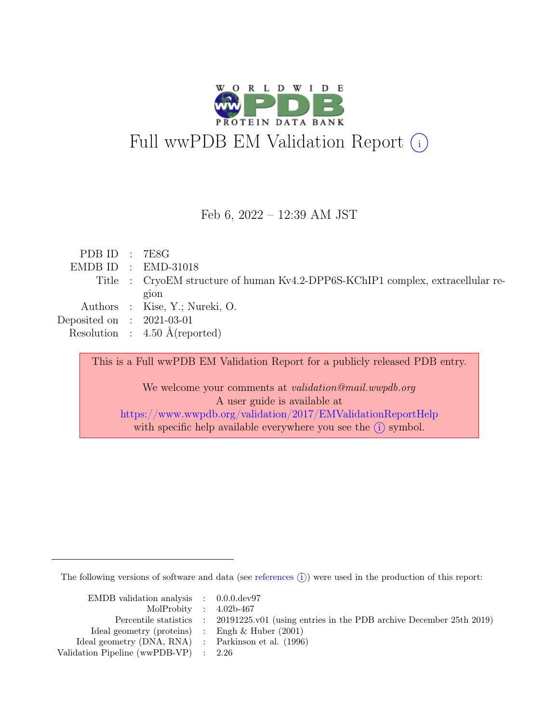

Feb 6, 2022 – 12:39 AM JST

| PDBID : 7ESG                |                                                                                 |
|-----------------------------|---------------------------------------------------------------------------------|
|                             | EMDB ID : EMD-31018                                                             |
|                             | Title : CryoEM structure of human Kv4.2-DPP6S-KChIP1 complex, extracellular re- |
|                             | gion                                                                            |
|                             | Authors : Kise, Y.; Nureki, O.                                                  |
| Deposited on : $2021-03-01$ |                                                                                 |
|                             | Resolution : $4.50 \text{ Å}$ (reported)                                        |
|                             |                                                                                 |

This is a Full wwPDB EM Validation Report for a publicly released PDB entry.

We welcome your comments at *validation@mail.wwpdb.org* A user guide is available at <https://www.wwpdb.org/validation/2017/EMValidationReportHelp> with specific help available everywhere you see the  $(i)$  symbol.

The following versions of software and data (see [references](https://www.wwpdb.org/validation/2017/EMValidationReportHelp#references)  $(i)$ ) were used in the production of this report:

| EMDB validation analysis $\therefore$ 0.0.0.0 dev97   |                                                                                            |
|-------------------------------------------------------|--------------------------------------------------------------------------------------------|
| MolProbity : $4.02b-467$                              |                                                                                            |
|                                                       | Percentile statistics : 20191225.v01 (using entries in the PDB archive December 25th 2019) |
| Ideal geometry (proteins) : Engh $\&$ Huber (2001)    |                                                                                            |
| Ideal geometry $(DNA, RNA)$ : Parkinson et al. (1996) |                                                                                            |
| Validation Pipeline (wwPDB-VP) : 2.26                 |                                                                                            |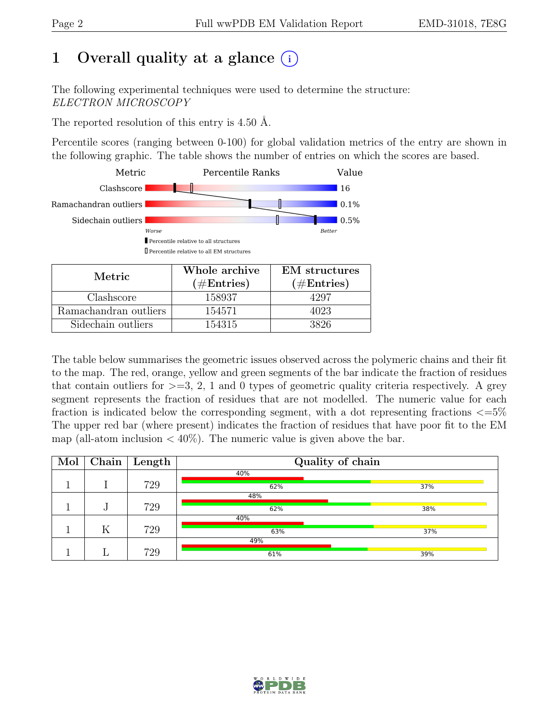# 1 Overall quality at a glance  $(i)$

The following experimental techniques were used to determine the structure: ELECTRON MICROSCOPY

The reported resolution of this entry is 4.50 Å.

Percentile scores (ranging between 0-100) for global validation metrics of the entry are shown in the following graphic. The table shows the number of entries on which the scores are based.



| Metric.               | <u>o indie</u> al chive<br>$(\#Entries)$ | тлуг эн шөннөэ<br>$(\#Entries)$ |
|-----------------------|------------------------------------------|---------------------------------|
| Clashscore            | 158937                                   | .297                            |
| Ramachandran outliers | 154571                                   | 4023                            |
| Sidechain outliers    | 154315                                   | 3826                            |

The table below summarises the geometric issues observed across the polymeric chains and their fit to the map. The red, orange, yellow and green segments of the bar indicate the fraction of residues that contain outliers for  $>=$  3, 2, 1 and 0 types of geometric quality criteria respectively. A grey segment represents the fraction of residues that are not modelled. The numeric value for each fraction is indicated below the corresponding segment, with a dot representing fractions  $\epsilon = 5\%$ The upper red bar (where present) indicates the fraction of residues that have poor fit to the EM map (all-atom inclusion  $\langle 40\% \rangle$ ). The numeric value is given above the bar.

| Mol |    | $\boxed{\text{Chain}}$ Length | Quality of chain |     |
|-----|----|-------------------------------|------------------|-----|
|     |    |                               | 40%              |     |
|     |    | 729                           | 62%              | 37% |
|     |    |                               | 48%              |     |
|     | ., | 729                           | 62%              | 38% |
|     |    |                               | 40%              |     |
|     | Κ  | 729                           | 63%              | 37% |
|     |    |                               | 49%              |     |
|     |    | 729                           | 61%              | 39% |

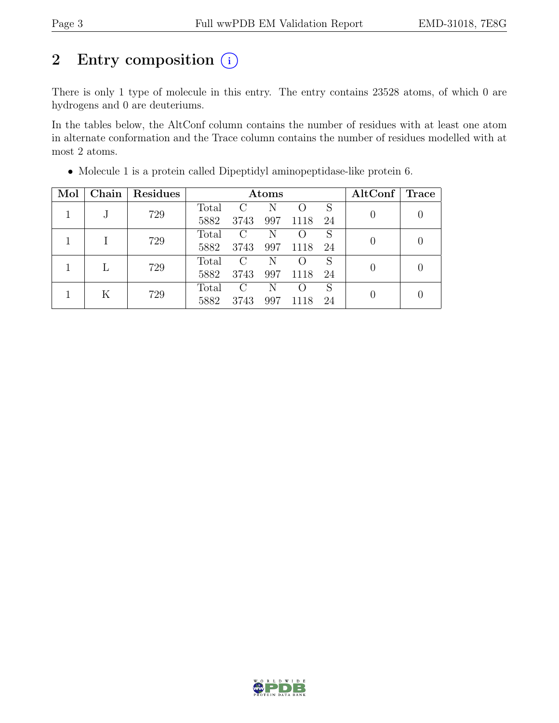# 2 Entry composition  $\overline{a}$

There is only 1 type of molecule in this entry. The entry contains 23528 atoms, of which 0 are hydrogens and 0 are deuteriums.

In the tables below, the AltConf column contains the number of residues with at least one atom in alternate conformation and the Trace column contains the number of residues modelled with at most 2 atoms.

| Mol | Chain | Residues |       |               | Atoms |                  |    | $\operatorname{AltConf}$ | <b>Trace</b> |
|-----|-------|----------|-------|---------------|-------|------------------|----|--------------------------|--------------|
|     | J     | 729      | Total | $\mathcal{C}$ | N     |                  | S  | O                        |              |
|     |       |          | 5882  | 3743          | 997   | 1118             | 24 |                          |              |
|     |       | 729      | Total | $\mathcal{C}$ | N     |                  | S  |                          |              |
|     |       |          | 5882  | 3743          | 997   | 1118             | 24 |                          |              |
|     | L     | 729      | Total | C             | N     | $\left( \right)$ | S  | 0                        |              |
|     |       |          | 5882  | 3743          | 997   | 1118             | 24 |                          |              |
|     | K     | 729      | Total | $\mathcal{C}$ | N     | $\left( \right)$ | S  |                          |              |
|     |       |          | 5882  | 3743          | 997   | 1118             | 24 |                          |              |

• Molecule 1 is a protein called Dipeptidyl aminopeptidase-like protein 6.

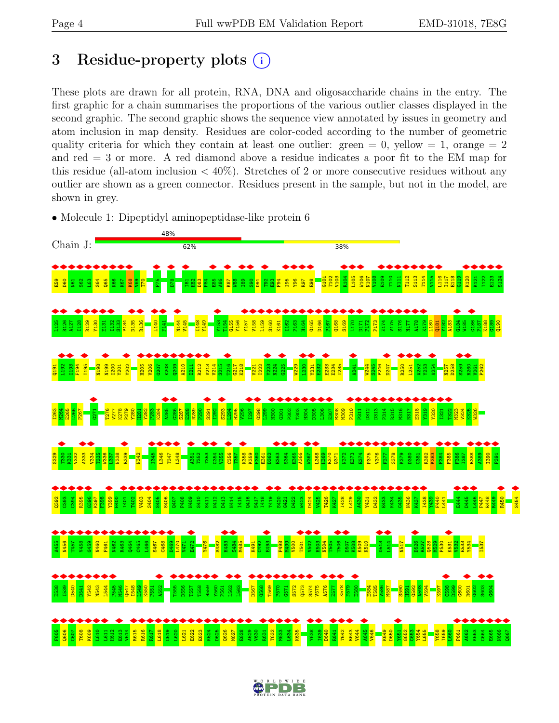# <span id="page-3-0"></span>3 Residue-property plots  $(i)$

These plots are drawn for all protein, RNA, DNA and oligosaccharide chains in the entry. The first graphic for a chain summarises the proportions of the various outlier classes displayed in the second graphic. The second graphic shows the sequence view annotated by issues in geometry and atom inclusion in map density. Residues are color-coded according to the number of geometric quality criteria for which they contain at least one outlier: green  $= 0$ , yellow  $= 1$ , orange  $= 2$ and red = 3 or more. A red diamond above a residue indicates a poor fit to the EM map for this residue (all-atom inclusion  $\langle 40\% \rangle$ ). Stretches of 2 or more consecutive residues without any outlier are shown as a green connector. Residues present in the sample, but not in the model, are shown in grey.

• Molecule 1: Dipeptidyl aminopeptidase-like protein 6



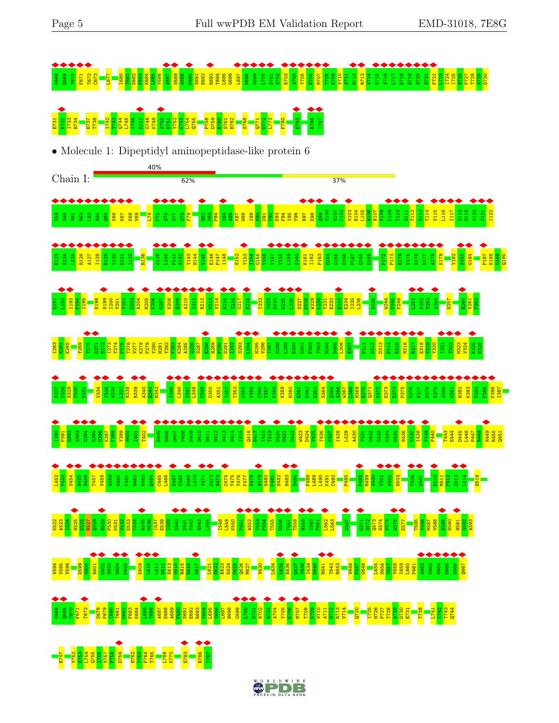#### G668 ◆ Q669 ◆ T670 ◆ F671 ◆ T672 ◆ C673 L677 I680 T681 D682 F683 K684 L685 Y686 A687 S688 A689 F690 S691 E692 R693 Y694 L695 G696 L697 H698 G699 L700 D701 N702 ◆ ◆ ◆ ◆ ◆ ◆ ◆ ◆ ◆ R703 ◆ A704 Y705 ◆ ◆ E706 ◆ M707 ◆ T708 T708<br>K709<br>A711<br>H712 R713 R713<br>V714<br>S715 S715 **A716** E718 E719 | **D**<br>Q720  $Q721$  $QT21$ **E723**<br>I724<br>I724<br>I725 H728<br>P728<br><mark>P728</mark><br>D730

#### E731 K732 ◆ I733 H734 H737 T738 I742 G74<br>A744 A749<br>A754<br>S749 Q760<br>S749 ◆ ◆ P758 D759 E760 S761 H762 S768 Q771 H772 L773 F780 E783 ◆ R786 ◆ I787 ◆

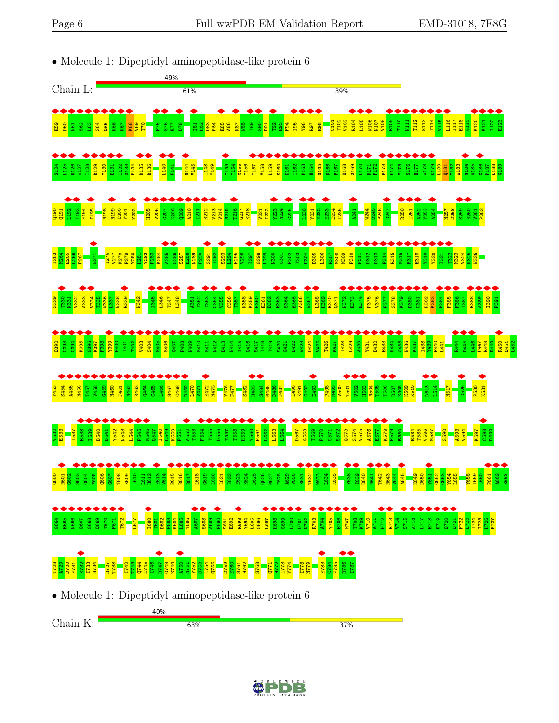

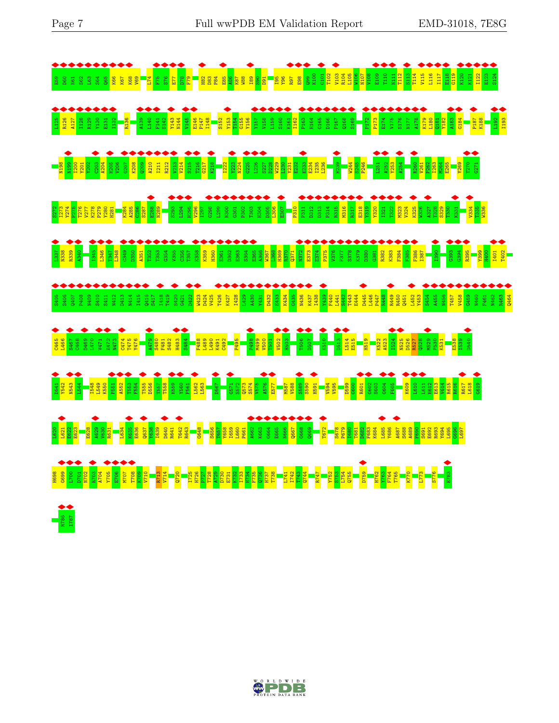

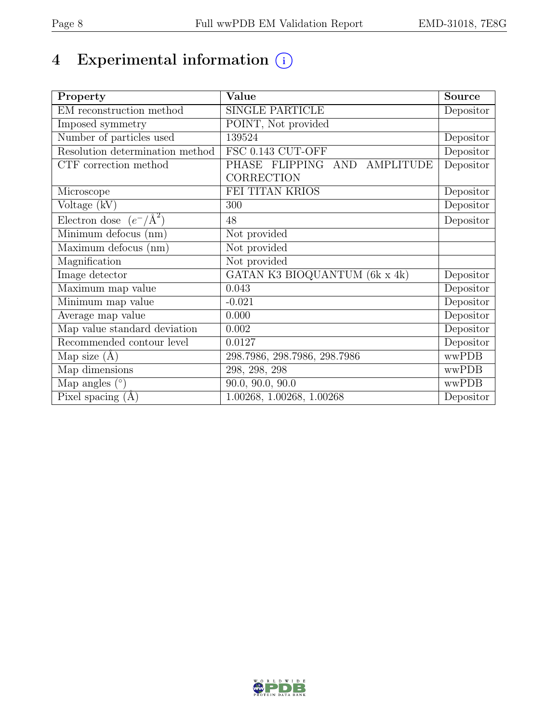# 4 Experimental information  $\circled$

| Property                           | Value                                             | <b>Source</b> |
|------------------------------------|---------------------------------------------------|---------------|
| EM reconstruction method           | <b>SINGLE PARTICLE</b>                            | Depositor     |
| Imposed symmetry                   | POINT, Not provided                               |               |
| Number of particles used           | 139524                                            | Depositor     |
| Resolution determination method    | FSC 0.143 CUT-OFF                                 | Depositor     |
| CTF correction method              | PHASE FLIPPING AND AMPLITUDE<br><b>CORRECTION</b> | Depositor     |
| Microscope                         | FEI TITAN KRIOS                                   | Depositor     |
| Voltage (kV)                       | 300                                               | Depositor     |
| Electron dose $(e^-/\text{\AA}^2)$ | 48                                                | Depositor     |
| Minimum defocus (nm)               | Not provided                                      |               |
| Maximum defocus (nm)               | Not provided                                      |               |
| Magnification                      | Not provided                                      |               |
| Image detector                     | GATAN K3 BIOQUANTUM (6k x 4k)                     | Depositor     |
| Maximum map value                  | 0.043                                             | Depositor     |
| Minimum map value                  | $-0.021$                                          | Depositor     |
| Average map value                  | 0.000                                             | Depositor     |
| Map value standard deviation       | 0.002                                             | Depositor     |
| Recommended contour level          | 0.0127                                            | Depositor     |
| Map size $(A)$                     | 298.7986, 298.7986, 298.7986                      | wwPDB         |
| Map dimensions                     | 298, 298, 298                                     | wwPDB         |
| Map angles $(°)$                   | $\overline{90.0}$ , 90.0, 90.0                    | wwPDB         |
| Pixel spacing $(A)$                | $\overline{1.00}$ 268, 1.00268, 1.00268           | Depositor     |

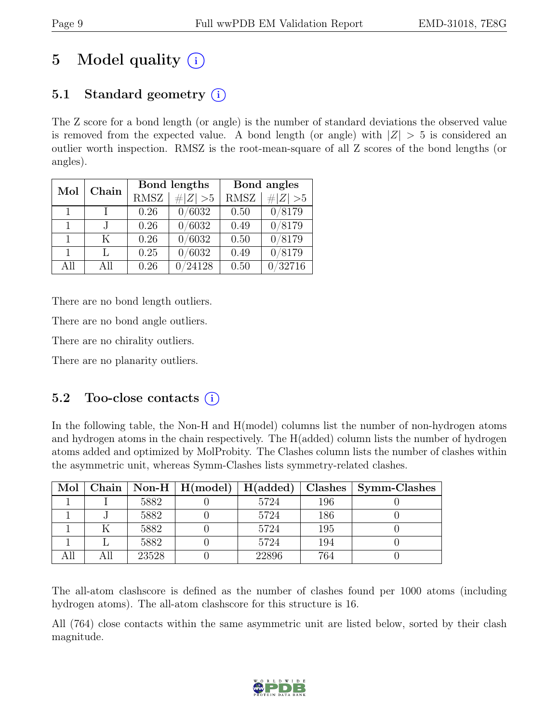# 5 Model quality  $(i)$

# 5.1 Standard geometry  $(i)$

The Z score for a bond length (or angle) is the number of standard deviations the observed value is removed from the expected value. A bond length (or angle) with  $|Z| > 5$  is considered an outlier worth inspection. RMSZ is the root-mean-square of all Z scores of the bond lengths (or angles).

| Mol          | Chain |            | Bond lengths | Bond angles |            |
|--------------|-------|------------|--------------|-------------|------------|
|              |       | $\rm RMSZ$ | $\# Z  > 5$  | <b>RMSZ</b> | H Z <br>>5 |
| $\mathbf{1}$ |       | 0.26       | 0/6032       | 0.50        | 0/8179     |
| 1            |       | 0.26       | 0/6032       | 0.49        | 0/8179     |
| 1            | Κ     | 0.26       | 0/6032       | 0.50        | 0/8179     |
| 1            |       | 0.25       | /6032        | 0.49        | 0/8179     |
| All          | All   | 0.26       | 24128        | 0.50        | /32716     |

There are no bond length outliers.

There are no bond angle outliers.

There are no chirality outliers.

There are no planarity outliers.

## 5.2 Too-close contacts  $(i)$

In the following table, the Non-H and H(model) columns list the number of non-hydrogen atoms and hydrogen atoms in the chain respectively. The H(added) column lists the number of hydrogen atoms added and optimized by MolProbity. The Clashes column lists the number of clashes within the asymmetric unit, whereas Symm-Clashes lists symmetry-related clashes.

| Mol | Chain |       | $\vert$ Non-H $\vert$ H(model) $\vert$ | H(added) | Clashes | Symm-Clashes |
|-----|-------|-------|----------------------------------------|----------|---------|--------------|
|     |       | 5882  |                                        | 5724     | 196     |              |
|     |       | 5882  |                                        | 5724     | 186     |              |
|     |       | 5882  |                                        | 5724     | 195     |              |
|     |       | 5882  |                                        | 5724     | 194     |              |
|     |       | 23528 |                                        | 22896    | 764     |              |

The all-atom clashscore is defined as the number of clashes found per 1000 atoms (including hydrogen atoms). The all-atom clashscore for this structure is 16.

All (764) close contacts within the same asymmetric unit are listed below, sorted by their clash magnitude.

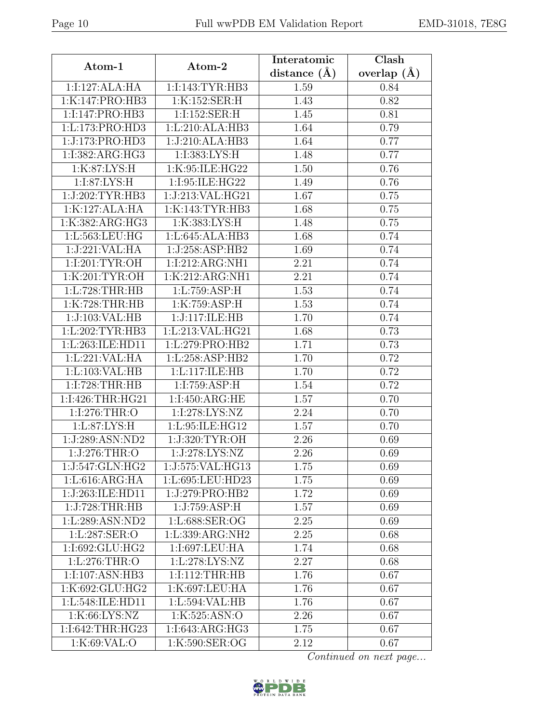| Atom-1             | Atom-2           | Interatomic      | Clash         |
|--------------------|------------------|------------------|---------------|
|                    |                  | distance $(\AA)$ | overlap $(A)$ |
| 1:I:127:ALA:HA     | 1:1:143:TYR:HB3  | 1.59             | 0.84          |
| 1:K:147:PRO:HB3    | 1:K:152:SER:H    | 1.43             | 0.82          |
| 1:I:147:PRO:HB3    | 1:1:152:SER:H    | 1.45             | 0.81          |
| 1:L:173:PRO:HD3    | 1:L:210:ALA:HB3  | 1.64             | 0.79          |
| 1:J:173:PRO:HD3    | 1:J:210:ALA:HB3  | 1.64             | 0.77          |
| 1:I:382:ARG:HG3    | 1:I:383:LYS:H    | 1.48             | 0.77          |
| 1:K:87:LYS:H       | 1:K:95:ILE:HG22  | 1.50             | 0.76          |
| 1:I:87:LYS:H       | 1:I:95:ILE:HG22  | 1.49             | 0.76          |
| 1:J:202:TYR:HB3    | 1:J:213:VAL:HG21 | 1.67             | 0.75          |
| 1:K:127:ALA:HA     | 1:K:143:TYR:HB3  | 1.68             | 0.75          |
| 1:K:382:ARG:HG3    | 1:K:383:LYS:H    | 1.48             | 0.75          |
| 1:L:563:LEU:HG     | 1:L:645:ALA:HB3  | 1.68             | 0.74          |
| 1:J:221:VAL:HA     | 1:J:258:ASP:HB2  | 1.69             | 0.74          |
| 1:1:201:TYR:OH     | 1:I:212:ARG:NH1  | 2.21             | 0.74          |
| 1:K:201:TYR:OH     | 1:K:212:ARG:NH1  | 2.21             | 0.74          |
| 1:L:728:THR:HB     | 1: L: 759: ASP:H | 1.53             | 0.74          |
| 1:K:728:THR:HB     | 1:K:759:ASP:H    | 1.53             | 0.74          |
| 1:J:103:VAL:HB     | 1:J:117:ILE:HB   | 1.70             | 0.74          |
| 1: L:202: TYR: HB3 | 1:L:213:VAL:HG21 | 1.68             | 0.73          |
| 1:L:263:ILE:HD11   | 1:L:279:PRO:HB2  | 1.71             | 0.73          |
| 1:L:221:VAL:HA     | 1:L:258:ASP:HB2  | 1.70             | 0.72          |
| 1: L: 103: VAL: HB | 1:L:117:ILE:HB   | 1.70             | 0.72          |
| 1:I:728:THR:HB     | 1:I:759:ASP:H    | 1.54             | 0.72          |
| 1:I:426:THR:HG21   | 1:I:450:ARG:HE   | 1.57             | 0.70          |
| 1:1:276:THR:O      | 1:I:278:LYS:NZ   | 2.24             | 0.70          |
| 1: L:87: LYS:H     | 1:L:95:ILE:HG12  | 1.57             | 0.70          |
| 1:J:289:ASN:ND2    | 1:J:320:TYR:OH   | 2.26             | 0.69          |
| 1:J:276:THR:O      | 1:J:278:LYS:NZ   | 2.26             | 0.69          |
| 1:J:547:GLN:HG2    | 1:J:575:VAL:HG13 | 1.75             | 0.69          |
| 1: L:616: ARG:HA   | 1:L:695:LEU:HD23 | 1.75             | 0.69          |
| 1:J:263:ILE:HD11   | 1:J:279:PRO:HB2  | 1.72             | 0.69          |
| 1:J:728:THR:HB     | 1:J:759:ASP:H    | 1.57             | 0.69          |
| 1:L:289:ASN:ND2    | 1:L:688:SER:OG   | 2.25             | 0.69          |
| 1:L:287:SER:O      | 1:L:339:ARG:NH2  | 2.25             | 0.68          |
| 1:1:692:GLU:HG2    | 1:1:697:LEU:HA   | 1.74             | 0.68          |
| 1: L:276:THR:O     | 1:L:278:LYS:NZ   | 2.27             | 0.68          |
| 1:I:107:ASN:HB3    | 1:1:112:THR:HB   | 1.76             | 0.67          |
| 1:K:692:GLU:HG2    | 1:K:697:LEU:HA   | 1.76             | 0.67          |
| 1:L:548:ILE:HD11   | 1:L:594:VAL:HB   | 1.76             | 0.67          |
| 1:K:66:LYS:NZ      | 1:K:525:ASN:O    | 2.26             | 0.67          |
| 1:I:642:THR:HG23   | 1:I:643:ARG:HG3  | 1.75             | 0.67          |
| 1:K:69:VAL:O       | 1:K:590:SER:OG   | 2.12             | 0.67          |

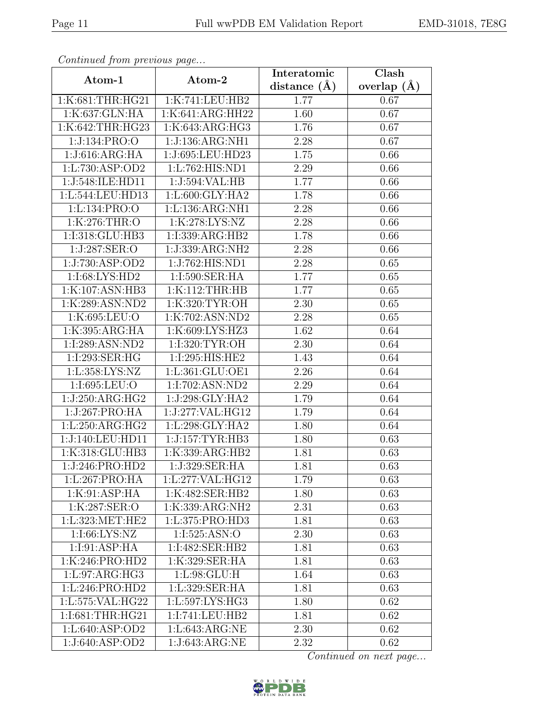| EMD-31018. 7E8G |  |
|-----------------|--|
|-----------------|--|

| Continuati jibni protibus puga                       |                  | Interatomic    | $\overline{\text{Clash}}$ |
|------------------------------------------------------|------------------|----------------|---------------------------|
| Atom-1                                               | Atom-2           | distance $(A)$ | overlap $(A)$             |
| 1:K:681:THR:HG21                                     | 1:K:741:LEU:HB2  | 1.77           | 0.67                      |
| 1:K:637:GLN:HA                                       | 1:K:641:ARG:HH22 | 1.60           | 0.67                      |
| 1:K:642:THR:HG23                                     | 1:K:643:ARG:HG3  | 1.76           | 0.67                      |
| 1:J:134:PRO:O                                        | 1:J:136:ARG:NH1  | 2.28           | 0.67                      |
| 1:J:616:ARG:HA                                       | 1:J:695:LEU:HD23 | 1.75           | 0.66                      |
| 1:L:730:ASP:OD2                                      | 1:L:762:HIS:ND1  | 2.29           | 0.66                      |
| 1:J:548:ILE:HD11                                     | 1:J:594:VAL:HB   | 1.77           | 0.66                      |
| 1:L:544:LEU:HD13                                     | 1:L:600:GLY:HA2  | 1.78           | 0.66                      |
| 1:Li.134:PRO:O                                       | 1:L:136:ARG:NH1  | 2.28           | 0.66                      |
| 1:K:276:THR:O                                        | 1:K:278:LYS:NZ   | 2.28           | 0.66                      |
| 1:I:318:GLU:HB3                                      | 1:I:339:ARG:HB2  | 1.78           | 0.66                      |
| 1:J:287:SER:O                                        | 1:J:339:ARG:NH2  | 2.28           | 0.66                      |
| 1:J:730:ASP:OD2                                      | 1:J:762:HIS:ND1  | 2.28           | 0.65                      |
| 1:I:68:LYS:HD2                                       | 1:I:590:SER:HA   | 1.77           | 0.65                      |
| 1:K:107:ASN:HB3                                      | 1:K:112:THR:HB   | 1.77           | 0.65                      |
| 1:K:289:ASN:ND2                                      | 1:K:320:TYR:OH   | 2.30           | 0.65                      |
| 1:K:695:LEU:O                                        | 1:K:702:ASN:ND2  | 2.28           | 0.65                      |
| 1:K:395:ARG:HA                                       | 1:K:609:LYS:HZ3  | 1.62           | 0.64                      |
| 1:I:289:ASN:ND2                                      | 1:I:320:TYR:OH   | 2.30           | 0.64                      |
| 1:I:293:SER:HG                                       | 1:I:295:HIS:HE2  | 1.43           | 0.64                      |
| 1: L: 358: LYS: NZ                                   | 1:L:361:GLU:OE1  | 2.26           | 0.64                      |
| 1:I:695:LEU:O                                        | 1:I:702:ASN:ND2  | 2.29           | 0.64                      |
| 1:J:250:ARG:HG2                                      | 1:J:298:GLY:HA2  | 1.79           | 0.64                      |
| 1:J:267:PRO:HA                                       | 1:J:277:VAL:HG12 | 1.79           | 0.64                      |
| 1:L:250:ARG:HG2                                      | 1:L:298:GLY:HA2  | 1.80           | 0.64                      |
| 1:J:140:LEU:HD11                                     | 1:J:157:TYR:HB3  | 1.80           | 0.63                      |
| 1:K:318:GLU:HB3                                      | 1:K:339:ARG:HB2  | 1.81           | 0.63                      |
| 1:J:246:PRO:HD2                                      | 1:J:329:SER:HA   | 1.81           | 0.63                      |
| 1:L:267:PRO:HA                                       | 1:L:277:VAL:HG12 | 1.79           | 0.63                      |
| 1:K:91:ASP:HA                                        | 1:K:482:SER:HB2  | 1.80           | 0.63                      |
| 1:K:287:SER:O                                        | 1:K:339:ARG:NH2  | 2.31           | 0.63                      |
| 1:L:323:MET:HE2                                      | 1:L:375:PRO:HD3  | 1.81           | 0.63                      |
| 1:1:66:LYS:NZ                                        | 1:1:525:ASN:O    | 2.30           | 0.63                      |
| 1:I:91:ASP:HA                                        | 1:I:482:SER:HB2  | 1.81           | 0.63                      |
| 1:K:246:PRO:HD2                                      | 1:K:329:SER:HA   | 1.81           | 0.63                      |
| 1:L:97:ARG:HG3                                       | 1: L:98: GLU: H  | 1.64           | 0.63                      |
| 1:L:246:PRO:HD2                                      | 1:L:329:SER:HA   | 1.81           | 0.63                      |
| $1: L: 575: V\overline{\mathrm{AL}: \mathrm{HG} 22}$ | 1:L:597:LYS:HG3  | 1.80           | 0.62                      |
| 1:I:681:THR:HG21                                     | 1:I:741:LEU:HB2  | 1.81           | 0.62                      |
| 1:L:640:ASP:OD2                                      | 1:L:643:ARG:NE   | 2.30           | 0.62                      |
| 1:J:640:ASP:OD2                                      | 1:J:643:ARG:NE   | 2.32           | 0.62                      |

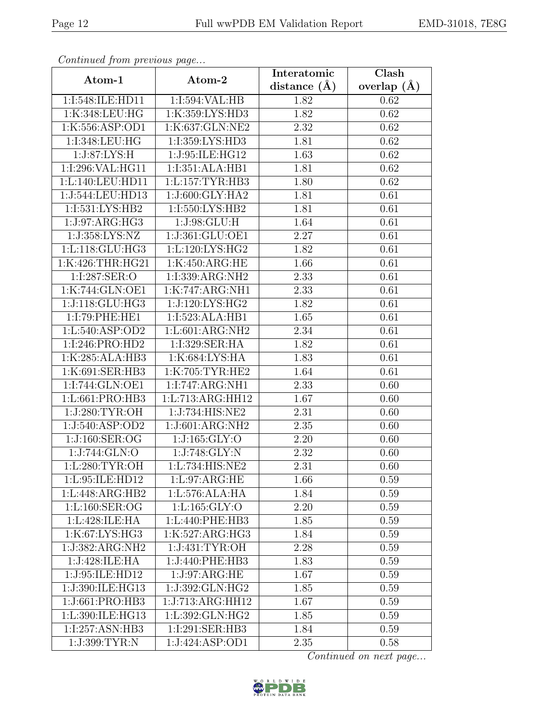| EMD-31018, 7E8G |  |
|-----------------|--|
|-----------------|--|

| Continuati jibni protibus puga |                   | Interatomic    | Clash         |
|--------------------------------|-------------------|----------------|---------------|
| Atom-1                         | Atom-2            | distance $(A)$ | overlap $(A)$ |
| 1:I:548:ILE:HD11               | 1:I:594:VAL:HB    | 1.82           | 0.62          |
| 1:K:348:LEU:HG                 | 1:K:359:LYS:HD3   | 1.82           | 0.62          |
| 1:K:556:ASP:OD1                | 1:K:637:GLN:NE2   | 2.32           | 0.62          |
| 1:I:348:LEU:HG                 | 1:I:359:LYS:HD3   | 1.81           | 0.62          |
| 1:J:87:LYS:H                   | 1:J:95:ILE:HG12   | 1.63           | 0.62          |
| 1:I:296:VAL:HG11               | 1:I:351:ALA:HB1   | 1.81           | 0.62          |
| 1:L:140:LEU:HD11               | 1:L:157:TYR:HB3   | 1.80           | 0.62          |
| 1:J:544:LEU:HD13               | 1:J:600:GLY:HA2   | 1.81           | 0.61          |
| 1:1:531:LYS:HB2                | 1:I:550:LYS:HB2   | 1.81           | 0.61          |
| 1:J:97:ARG:HG3                 | 1:J:98:GLU:H      | 1.64           | 0.61          |
| 1:J:358:LYS:NZ                 | 1:J:361:GLU:OE1   | 2.27           | 0.61          |
| 1:L:118:GLU:HG3                | 1:L:120:LYS:HG2   | 1.82           | 0.61          |
| 1:K:426:THR:HG21               | 1:K:450:ARG:HE    | 1.66           | 0.61          |
| 1:I:287:SER:O                  | 1:I:339:ARG:NH2   | 2.33           | 0.61          |
| 1:K:744:GLN:OE1                | 1:K:747:ARG:NH1   | 2.33           | 0.61          |
| 1:J:118:GLU:HG3                | 1:J:120:LYS:HG2   | 1.82           | 0.61          |
| 1:I:79:PHE:HE1                 | 1:I:523:ALA:HB1   | 1.65           | 0.61          |
| 1:L:540:ASP:OD2                | 1:L:601:ARG:NH2   | 2.34           | 0.61          |
| 1:I:246:PRO:HD2                | 1:I:329:SER:HA    | 1.82           | 0.61          |
| 1:K:285:ALA:HB3                | 1:K:684:LYS:HA    | 1.83           | 0.61          |
| 1:K:691:SER:HB3                | 1:K:705:TYR:HE2   | 1.64           | 0.61          |
| 1:I:744:GLN:OE1                | 1:I:747:ARG:NH1   | 2.33           | 0.60          |
| 1:L:661:PRO:HB3                | 1:L:713:ARG:HH12  | 1.67           | 0.60          |
| 1:J:280:TYR:OH                 | 1:J:734:HIS:NE2   | 2.31           | 0.60          |
| 1:J:540:ASP:OD2                | 1:J:601:ARG:NH2   | 2.35           | 0.60          |
| 1:J:160:SER:OG                 | 1:J:165:GLY:O     | 2.20           | 0.60          |
| 1:J:744:GLN:O                  | 1:J:748:GLY:N     | 2.32           | 0.60          |
| 1: L:280: TYR:OH               | 1:L:734:HIS:NE2   | 2.31           | 0.60          |
| 1: L:95: ILE: HD12             | 1: L:97: ARG:HE   | 1.66           | 0.59          |
| 1: L:448: ARG: HB2             | 1:L:576:ALA:HA    | 1.84           | 0.59          |
| 1:L:160:SER:OG                 | 1: L: 165: GLY: O | 2.20           | 0.59          |
| 1:L:428:ILE:HA                 | 1:L:440:PHE:HB3   | 1.85           | 0.59          |
| $1:K:67:L\overline{YS:HG3}$    | 1:K:527:ARG:HG3   | 1.84           | 0.59          |
| 1:J:382:ARG:NH2                | 1:J:431:TYR:OH    | 2.28           | 0.59          |
| 1:J:428:ILE:HA                 | 1:J:440:PHE:HB3   | 1.83           | 0.59          |
| 1:J:95:ILE:HD12                | 1:J:97:ARG:HE     | 1.67           | 0.59          |
| 1:J:390:ILE:HG13               | 1:J:392:GLN:HG2   | 1.85           | 0.59          |
| 1:J:661:PRO:HB3                | 1:J:713:ARG:HH12  | 1.67           | 0.59          |
| 1:L:390:ILE:HG13               | 1:L:392:GLN:HG2   | 1.85           | 0.59          |
| 1:1:257:ASN:HB3                | 1:I:291:SER:HB3   | 1.84           | 0.59          |
| 1:J:399:TYR:N                  | 1:J:424:ASP:OD1   | 2.35           | 0.58          |

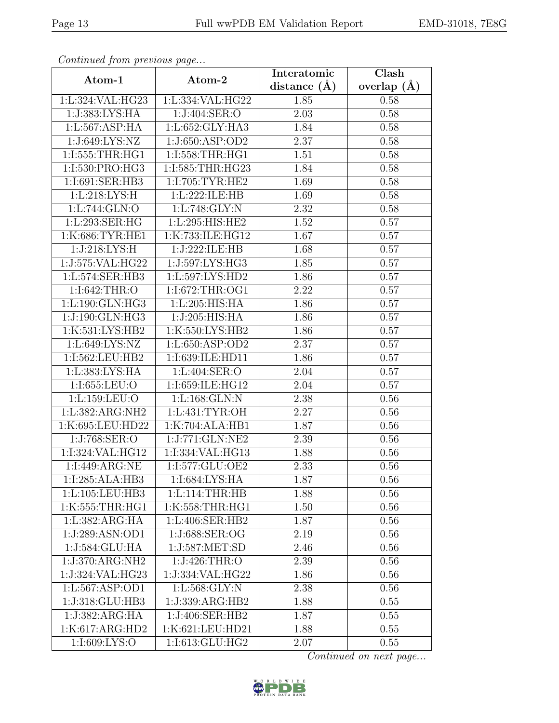| EMD-31018, 7E8G |  |
|-----------------|--|
|-----------------|--|

| Continuati jibin protibus puga |                                                       | Interatomic       | Clash         |
|--------------------------------|-------------------------------------------------------|-------------------|---------------|
| Atom-1                         | Atom-2                                                | distance $(A)$    | overlap $(A)$ |
| 1:L:324:VAL:HG23               | 1:L:334:VAL:HG22                                      | 1.85              | 0.58          |
| 1:J:383:LYS:HA                 | 1:J:404:SER:O                                         | 2.03              | 0.58          |
| 1: L: 567: ASP: HA             | 1: L:652: GLY:HA3                                     | 1.84              | 0.58          |
| 1:J:649:LYS:NZ                 | 1:J:650:ASP:OD2                                       | 2.37              | 0.58          |
| 1:I:555:THR:HG1                | 1:I:558:THR:HG1                                       | 1.51              | 0.58          |
| 1:I:530:PRO:HG3                | 1:I:585:THR:HG23                                      | 1.84              | 0.58          |
| 1:I:691:SER:HB3                | 1:I:705:TYR:HE2                                       | 1.69              | 0.58          |
| 1: L:218: LYS:H                | 1:L:222:ILE:HB                                        | 1.69              | 0.58          |
| 1: L:744: GLN:O                | 1: L:748: GLY:N                                       | $\overline{2.32}$ | 0.58          |
| 1:L:293:SER:HG                 | 1:L:295:HIS:HE2                                       | 1.52              | 0.57          |
| 1:K:686:TYR:HE1                | 1:K:733:ILE:HG12                                      | 1.67              | 0.57          |
| 1:J:218:LYS:H                  | 1:J:222:ILE:HB                                        | 1.68              | 0.57          |
| 1:J:575:VAL:HG22               | 1:J:597:LYS:HG3                                       | 1.85              | 0.57          |
| 1:L:574:SER:HB3                | 1:L:597:LYS:HD2                                       | 1.86              | 0.57          |
| 1:I:642:THR:O                  | 1:I:672:THR:OG1                                       | 2.22              | 0.57          |
| 1:L:190:GLN:HG3                | 1: L:205: HIS: HA                                     | 1.86              | 0.57          |
| 1:J:190:GLN:HG3                | 1:J:205:HIS:HA                                        | 1.86              | 0.57          |
| 1:K:531:LYS:HB2                | 1:K:550:LYS:HB2                                       | 1.86              | 0.57          |
| 1:L:649:LYS:NZ                 | 1:L:650:ASP:OD2                                       | 2.37              | 0.57          |
| 1:I:562:LEU:HB2                | 1:I:639:ILE:HD11                                      | 1.86              | 0.57          |
| 1: L: 383: LYS: HA             | 1:L:404:SER:O                                         | 2.04              | 0.57          |
| 1:I:655:LEU:O                  | 1:I:659:ILE:HG12                                      | 2.04              | 0.57          |
| 1:L:159:LEU:O                  | 1:L:168:GLN:N                                         | 2.38              | 0.56          |
| 1:L:382:ARG:NH2                | 1:L:431:TYR:OH                                        | 2.27              | 0.56          |
| 1:K:695:LEU:HD22               | 1:K:704:ALA:HB1                                       | 1.87              | 0.56          |
| 1:J:768:SER:O                  | 1:J:771:GLN:NE2                                       | 2.39              | 0.56          |
| 1:I:324:VAL:HG12               | 1:I:334:VAL:HG13                                      | 1.88              | 0.56          |
| 1:I:449:ARG:NE                 | 1:I:577:GLU:OE2                                       | 2.33              | 0.56          |
| 1:I:285:ALA:HB3                | 1:I:684:LYS:HA                                        | 1.87              | 0.56          |
| 1:L:105:LEU:HB3                | 1: L: 114: THR: HB                                    | 1.88              | 0.56          |
| 1:K:555:THR:HGI                | 1:K:558:THR:HG1                                       | 1.50              | 0.56          |
| 1: L: 382: ARG: HA             | 1:L:406:SER:HB2                                       | 1.87              | 0.56          |
| $1:J:289:ASN:O\overline{D1}$   | 1:J:688:SER:OG                                        | 2.19              | 0.56          |
| 1:J:584:GLU:HA                 | 1:J:587:MET:SD                                        | 2.46              | 0.56          |
| 1:J:370:ARG:NH2                | 1:J:426:THR:O                                         | 2.39              | 0.56          |
| 1:J:324:VAL:HG23               | 1:J:334: VAL: HG22                                    | 1.86              | 0.56          |
| 1:L:567:ASP:OD1                | 1:L:568:GLY:N                                         | 2.38              | 0.56          |
| 1:J:318:GLU:HB3                | 1:J:339:ARG:HB2                                       | 1.88              | 0.55          |
| 1:J:382:ARG:HA                 | 1:J:406:SER:HB2                                       | 1.87              | 0.55          |
| 1:K:617:ARG:HD2                | 1:K:621:LEU:HD21                                      | 1.88              | 0.55          |
| 1:I:609:LYS:O                  | $1:1:613:G\overline{\text{LU}:H}\overline{\text{G2}}$ | 2.07              | 0.55          |

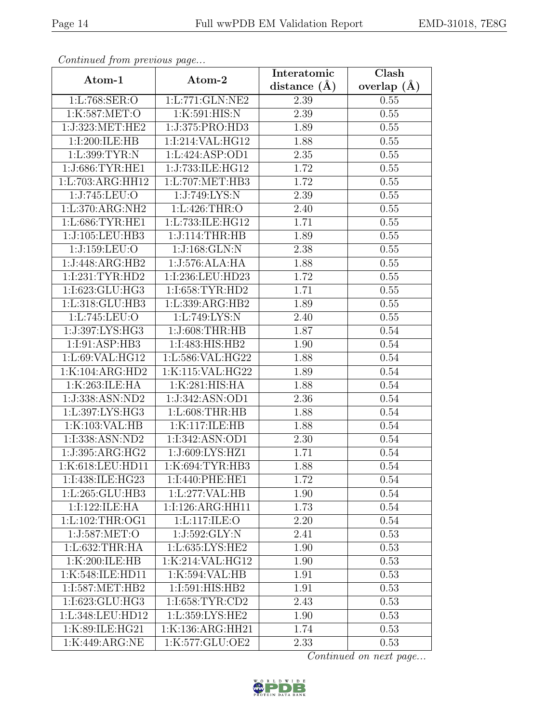| EMD-31018, 7E8G |  |
|-----------------|--|
|-----------------|--|

| Conventura prome previous page |                                         | Interatomic      | Clash         |
|--------------------------------|-----------------------------------------|------------------|---------------|
| Atom-1                         | Atom-2                                  | distance $(\AA)$ | overlap $(A)$ |
| 1:L:768:SER:O                  | $1: L: 771: GLN: \overline{\text{NE2}}$ | 2.39             | 0.55          |
| 1:K:587:MET:O                  | 1:K:591:HIS:N                           | 2.39             | 0.55          |
| 1:J:323:MET:HE2                | 1:J:375:PRO:HD3                         | 1.89             | 0.55          |
| 1:I:200:ILE:HB                 | 1:I:214:VAL:HG12                        | 1.88             | 0.55          |
| 1: L:399: TYR: N               | 1: L:424: ASP:OD1                       | $2.35\,$         | 0.55          |
| 1:J:686:TYR:HE1                | 1:J:733:ILE:HG12                        | 1.72             | 0.55          |
| 1:L:703:ARG:HH12               | 1:L:707:MET:HB3                         | 1.72             | 0.55          |
| 1:J:745:LEU:O                  | 1:J:749:LYS:N                           | 2.39             | 0.55          |
| 1:L:370:ARG:NH2                | 1:L:426:THR:O                           | 2.40             | 0.55          |
| 1:L:686:TYR:HE1                | 1:L:733:ILE:HG12                        | 1.71             | 0.55          |
| 1:J:105:LEU:HB3                | 1:J:114:THR:HB                          | 1.89             | 0.55          |
| 1:J:159:LEU:O                  | 1:J:168:GLN:N                           | 2.38             | 0.55          |
| 1:J:448:ARG:HB2                | 1:J:576:ALA:HA                          | 1.88             | 0.55          |
| 1:1:231:TYR:HD2                | 1:I:236:LEU:HD23                        | 1.72             | 0.55          |
| 1:I:623:GLU:HG3                | 1:I:658:TYR:HD2                         | 1.71             | 0.55          |
| 1: L:318: GLU:HB3              | 1:L:339:ARG:HB2                         | 1.89             | 0.55          |
| 1:L:745:LEU:O                  | 1:L:749:LYS:N                           | 2.40             | 0.55          |
| 1:J:397:LYS:HG3                | 1:J:608:THR:HB                          | 1.87             | 0.54          |
| 1:I:91:ASP:HB3                 | 1:I:483:HIS:HB2                         | 1.90             | 0.54          |
| 1:L:69:VAL:HG12                | 1:L:586:VAL:HG22                        | 1.88             | 0.54          |
| 1:K:104:ARG:HD2                | 1:K:115:VAL:HG22                        | 1.89             | 0.54          |
| 1:K:263:ILE:HA                 | 1:K:281:HIS:HA                          | 1.88             | 0.54          |
| 1:J:338:ASN:ND2                | 1:J:342:ASN:OD1                         | 2.36             | 0.54          |
| 1:L:397:LYS:HG3                | 1: L:608:THR:HB                         | 1.88             | 0.54          |
| 1:K:103:VAL:HB                 | 1:K:117:ILE:HB                          | 1.88             | 0.54          |
| 1:I:338:ASN:ND2                | 1:I:342:ASN:OD1                         | 2.30             | 0.54          |
| 1:J:395:ARG:HG2                | 1:J:609:LYS:HZ1                         | 1.71             | 0.54          |
| 1:K:618:LEU:HD11               | 1:K:694:TYR:HB3                         | 1.88             | 0.54          |
| 1:I:438:ILE:HG23               | 1:I:440:PHE:HE1                         | 1.72             | 0.54          |
| 1:L:265:GLU:HB3                | 1:L:277:VAL:HB                          | 1.90             | 0.54          |
| 1:1:122:ILE:HA                 | 1:I:126:ARG:HH11                        | 1.73             | 0.54          |
| 1:L:102:THR:OG1                | 1: L: 117: ILE: O                       | 2.20             | 0.54          |
| 1:J:587:MET:O                  | 1:J:592:GLY:N                           | 2.41             | 0.53          |
| 1:L:632:THR:HA                 | 1:L:635:LYS:HE2                         | 1.90             | 0.53          |
| 1:K:200:ILE:HB                 | 1:K:214:VAL:HG12                        | 1.90             | 0.53          |
| 1:K:548:ILE:HD11               | 1:K:594:VAL:HB                          | 1.91             | 0.53          |
| 1:I:587:MET:HB2                | 1:I:591:HIS:HB2                         | 1.91             | 0.53          |
| 1:I:623:GLU:HG3                | 1:I:658:TYR:CD2                         | 2.43             | 0.53          |
| 1:L:348:LEU:HD12               | 1:L:359:LYS:HE2                         | 1.90             | 0.53          |
| 1:K:89:ILE:HG21                | 1:K:136:ARG:HH21                        | 1.74             | 0.53          |
| 1:K:449:ARG:NE                 | 1:K:577:GLU:OE2                         | 2.33             | 0.53          |

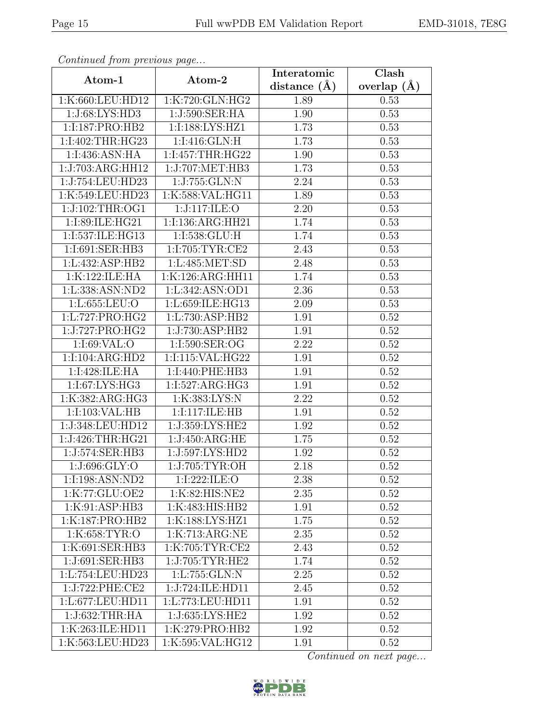| EMD-31018, 7E8G |  |
|-----------------|--|
|-----------------|--|

| soniched ji om proces do pago     |                     | Interatomic    | Clash             |
|-----------------------------------|---------------------|----------------|-------------------|
| Atom-1                            | Atom-2              | distance $(A)$ | overlap $(\AA)$   |
| 1:K:660:LEU:HD12                  | 1:K:720:GLN:HG2     | 1.89           | 0.53              |
| 1:J:68:LYS:HD3                    | 1:J:590:SER:HA      | 1.90           | 0.53              |
| 1:I:187:PRO:HB2                   | 1:I:188:LYS:HZ1     | 1.73           | 0.53              |
| 1:I:402:THR:HG23                  | 1:I:416:GLN:H       | 1.73           | 0.53              |
| 1:I:436:ASN:HA                    | 1:I:457:THR:HG22    | 1.90           | 0.53              |
| 1:J:703:ARG:HH12                  | 1:J:707:MET:HB3     | 1.73           | 0.53              |
| 1:J:754:LEU:HD23                  | 1:J:755:GLN:N       | 2.24           | $\overline{0.53}$ |
| 1:K:549:LEU:HD23                  | 1:K:588:VAL:HG11    | 1.89           | 0.53              |
| 1:J:102:THR:OG1                   | 1:J:117:ILE:O       | 2.20           | 0.53              |
| 1:I:89:ILE:HG21                   | 1:I:136:ARG:HH21    | 1.74           | 0.53              |
| 1:I:537:ILE:HG13                  | 1:I:538:GLU:H       | 1.74           | 0.53              |
| 1:I:691:SER:HB3                   | 1:I:705:TYR:CE2     | 2.43           | 0.53              |
| 1: L:432: ASP:HB2                 | 1:L:485:MET:SD      | 2.48           | 0.53              |
| 1:K:122:ILE:HA                    | 1:K:126:ARG:HH11    | 1.74           | 0.53              |
| 1:L:338:ASN:ND2                   | 1: L: 342: ASN: OD1 | 2.36           | 0.53              |
| 1: L:655:LEU:O                    | 1:L:659:ILE:HG13    | 2.09           | 0.53              |
| 1:L:727:PRO:HG2                   | 1:L:730:ASP:HB2     | 1.91           | 0.52              |
| 1:J:727:PRO:HG2                   | 1:J:730:ASP:HB2     | 1.91           | 0.52              |
| 1:I:69:VAL:O                      | 1:I:590:SER:OG      | 2.22           | 0.52              |
| 1:1:104:ARG:HD2                   | 1:I:115:VAL:HG22    | 1.91           | 0.52              |
| 1:I:428:ILE:HA                    | 1:I:440:PHE:HB3     | 1.91           | 0.52              |
| 1:1:67:LYS:HG3                    | 1:I:527:ARG:HG3     | 1.91           | 0.52              |
| 1:K:382:ARG:HG3                   | 1:K:383:LYS:N       | 2.22           | 0.52              |
| 1:I:103:VAL:HB                    | 1:I:117:ILE:HB      | 1.91           | 0.52              |
| 1:J:348:LEU:HD12                  | 1:J:359:LYS:HE2     | 1.92           | 0.52              |
| 1:J:426:THR:HG21                  | 1:J:450:ARG:HE      | 1.75           | 0.52              |
| 1:J:574:SER:HB3                   | 1:J:597:LYS:HD2     | 1.92           | 0.52              |
| 1:J:696:GLY:O                     | 1:J:705:TYR:OH      | 2.18           | 0.52              |
| 1:I:198:ASN:ND2                   | 1:I:222:ILE:O       | 2.38           | 0.52              |
| 1:K:77:GLU:OE2                    | 1:K:82:HIS:NE2      | 2.35           | 0.52              |
| 1:K:91:ASP:HB3                    | 1:K:483:HIS:HB2     | 1.91           | 0.52              |
| 1:K:187:PRO:HB2                   | 1:K:188:LYS:HZ1     | 1.75           | 0.52              |
| $1:K:658:\overline{\text{TYR}:O}$ | 1:K:713:ARG:NE      | 2.35           | 0.52              |
| 1:K:691:SER:HB3                   | 1:K:705:TYR:CE2     | 2.43           | 0.52              |
| 1:J:691:SER:HB3                   | 1:J:705:TYR:HE2     | 1.74           | 0.52              |
| 1:L:754:LEU:HD23                  | 1:L:755:GLN:N       | 2.25           | 0.52              |
| 1:J:722:PHE:CE2                   | 1:J:724:ILE:HD11    | 2.45           | 0.52              |
| 1:L:677:LEU:HD11                  | 1:L:773:LEU:HD11    | 1.91           | 0.52              |
| 1:J:632:THR:HA                    | 1:J:635:LYS:HE2     | 1.92           | 0.52              |
| 1:K:263:ILE:HD11                  | 1:K:279:PRO:HB2     | 1.92           | 0.52              |
| 1:K:563:LEU:HD23                  | 1:K:595:VAL:HG12    | 1.91           | 0.52              |

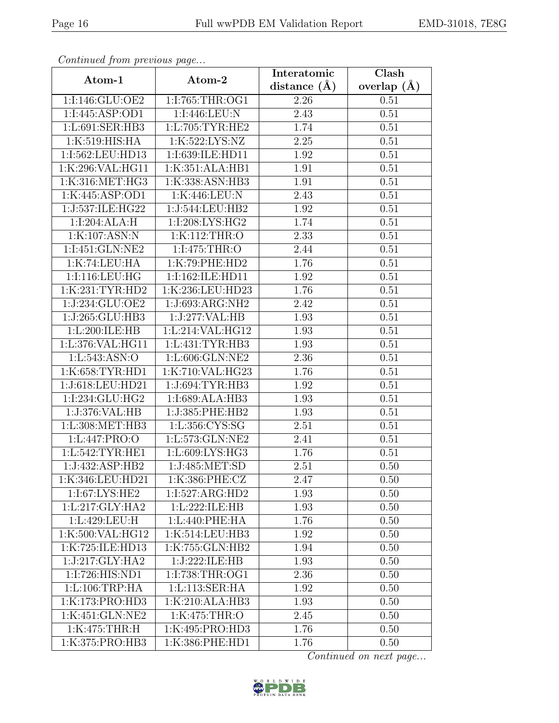| EMD-31018. 7E8G |  |
|-----------------|--|
|-----------------|--|

| sonicated grow process as page |                              | Interatomic      | $\overline{\text{Clash}}$ |
|--------------------------------|------------------------------|------------------|---------------------------|
| Atom-1                         | Atom-2                       | distance $(\AA)$ | overlap $(\AA)$           |
| 1:I:146:GLU:OE2                | 1:I:765:THR:OG1              | 2.26             | 0.51                      |
| 1:I:445:ASP:OD1                | 1:I:446:LEU:N                | 2.43             | 0.51                      |
| 1:L:691:SER:HB3                | 1:L:705:TYR:HE2              | 1.74             | 0.51                      |
| 1:K:519:HIS:HA                 | 1:K:522:LYS:NZ               | 2.25             | 0.51                      |
| 1:I:562:LEU:HD13               | 1:I:639:ILE:HD11             | 1.92             | 0.51                      |
| 1:K:296:VAL:HG11               | 1:K:351:ALA:HB1              | 1.91             | 0.51                      |
| 1:K:316:MET:HG3                | 1:K:338:ASN:HB3              | 1.91             | 0.51                      |
| 1:K:445:ASP:OD1                | 1:K:446:LEU:N                | 2.43             | 0.51                      |
| 1:J:537:ILE:HG22               | 1:J:544:LEU:HB2              | 1.92             | 0.51                      |
| 1:1:204:ALA:H                  | 1:I:208:LYS:HG2              | 1.74             | 0.51                      |
| 1:K:107:ASN:N                  | 1:K:112:THR:O                | 2.33             | 0.51                      |
| 1:I:451:GLN:NE2                | 1:1:475:THR:O                | 2.44             | 0.51                      |
| 1:K:74:LEU:HA                  | 1:K:79:PHE:HD2               | 1.76             | 0.51                      |
| 1:I:116:LEU:HG                 | 1:I:162:ILE:HD11             | 1.92             | 0.51                      |
| 1:K:231:TYR:HD2                | 1:K:236:LEU:HD23             | 1.76             | 0.51                      |
| 1:J:234:GLU:OE2                | 1:J:693:ARG:NH2              | 2.42             | 0.51                      |
| 1:J:265:GLU:HB3                | 1:J:277:VAL:HB               | 1.93             | 0.51                      |
| 1:L:200:ILE:HB                 | 1:L:214:VAL:HG12             | 1.93             | $0.51\,$                  |
| 1:L:376:VAL:HG11               | 1:L:431:TYR:HB3              | 1.93             | 0.51                      |
| 1:L:543:ASN:O                  | 1:L:606:GLN:NE2              | 2.36             | 0.51                      |
| 1:K:658:TYR:HD1                | 1:K:710:VAL:HG23             | 1.76             | 0.51                      |
| 1:J:618:LEU:HD21               | 1:J:694:TYR:HB3              | 1.92             | 0.51                      |
| 1:I:234:GLU:HG2                | 1:I:689:ALA:HB3              | 1.93             | 0.51                      |
| 1:J:376: VAL: HB               | 1:J:385:PHE:HB2              | 1.93             | 0.51                      |
| 1:L:308:MET:HB3                | 1:L:356:CYS:SG               | 2.51             | 0.51                      |
| 1:L:447:PRO:O                  | 1:L:573:GLN:NE2              | 2.41             | 0.51                      |
| 1: L: 542: TYR: HE1            | 1:L:609:LYS:HG3              | 1.76             | 0.51                      |
| 1:J:432:ASP:HB2                | 1:J:485:MET:SD               | 2.51             | 0.50                      |
| 1:K:346:LEU:HD21               | 1:K:386:PHE:CZ               | 2.47             | 0.50                      |
| 1:I:67:LYS:HE2                 | 1:I:527:ARG:HD2              | 1.93             | 0.50                      |
| 1:L:217:GLY:HA2                | 1: L: 222: ILE: HB           | 1.93             | 0.50                      |
| 1:L:429:LEU:H                  | 1:L:440:PHE:HA               | 1.76             | 0.50                      |
| 1:K:500:VAL:HG12               | 1:K:514:LEU:HB3              | 1.92             | 0.50                      |
| 1:K:725:ILE:HD13               | $1:K:755:GLN:H\overline{B2}$ | 1.94             | 0.50                      |
| 1:J:217:GLY:HA2                | 1:J:222:ILE:HB               | 1.93             | 0.50                      |
| 1:I:726:HIS:ND1                | 1:1:738:THR:OG1              | 2.36             | 0.50                      |
| 1: L: 106: TRP: HA             | 1:L:113:SER:HA               | 1.92             | 0.50                      |
| 1:K:173:PRO:HD3                | 1:K:210:ALA:HB3              | 1.93             | 0.50                      |
| 1:K:451:GLN:NE2                | 1:K:475:THR:O                | 2.45             | 0.50                      |
| 1:K:475:THR:H                  | 1:K:495:PRO:HD3              | 1.76             | 0.50                      |
| 1:K:375:PRO:HB3                | 1:K:386:PHE:HD1              | 1.76             | 0.50                      |

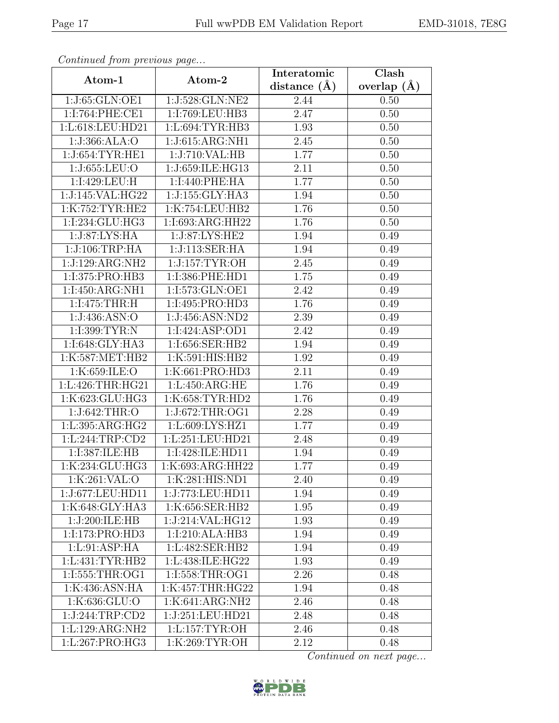| EMD-31018, 7E8G |  |
|-----------------|--|
|-----------------|--|

| Continuati jibni protibus puga |                                     | Interatomic       | $\overline{\text{Clash}}$ |
|--------------------------------|-------------------------------------|-------------------|---------------------------|
| Atom-1                         | Atom-2                              | distance $(A)$    | overlap $(A)$             |
| 1:J:65:GLN:OE1                 | $1:J:528:GLN:\overline{\text{NE2}}$ | 2.44              | 0.50                      |
| 1:I:764:PHE:CE1                | 1:I:769:LEU:HB3                     | 2.47              | 0.50                      |
| 1:L:618:LEU:HD21               | 1: L:694: TYR: HB3                  | 1.93              | 0.50                      |
| 1:J:366:ALA:O                  | 1:J:615:ARG:NH1                     | 2.45              | 0.50                      |
| 1:J:654:TYR:HE1                | 1:J:710:VAL:HB                      | 1.77              | 0.50                      |
| 1:J:655:LEU:O                  | 1:J:659:ILE:HG13                    | 2.11              | 0.50                      |
| 1:I:429:LEU:H                  | 1:I:440:PHE:HA                      | 1.77              | 0.50                      |
| 1:J:145:VAL:HG22               | 1:J:155:GLY:HA3                     | 1.94              | 0.50                      |
| 1:K:752:TYR:HE2                | 1:K:754:LEU:HB2                     | 1.76              | 0.50                      |
| 1:I:234:GLU:HG3                | 1:I:693:ARG:HH22                    | 1.76              | 0.50                      |
| 1:J:87:LYS:HA                  | 1:J:87:LYS:HE2                      | 1.94              | 0.49                      |
| 1:J:106:TRP:HA                 | 1:J:113:SER:HA                      | 1.94              | 0.49                      |
| 1:J:129:ARG:NH2                | 1:J:157:TYR:OH                      | 2.45              | 0.49                      |
| 1:I:375:PRO:HB3                | 1:I:386:PHE:HD1                     | 1.75              | 0.49                      |
| 1:I:450:ARG:NH1                | 1:I:573:GLN:OE1                     | 2.42              | 0.49                      |
| 1:I:475:THR:H                  | 1:I:495:PRO:HD3                     | 1.76              | 0.49                      |
| 1:J:436:ASN:O                  | 1:J:456:ASN:ND2                     | 2.39              | 0.49                      |
| 1:I:399:TYR:N                  | 1:I:424:ASP:OD1                     | 2.42              | 0.49                      |
| 1:I:648:GLY:HA3                | 1:I:656:SER:HB2                     | 1.94              | 0.49                      |
| 1:K:587:MET:HB2                | 1:K:591:HIS:HB2                     | 1.92              | 0.49                      |
| 1:K:659:ILE:O                  | 1:K:661:PRO:HD3                     | $\overline{2.11}$ | 0.49                      |
| 1:L:426:THR:HG21               | 1: L:450: ARG: HE                   | 1.76              | 0.49                      |
| 1:K:623:GLU:HG3                | 1:K:658:TYR:HD2                     | 1.76              | 0.49                      |
| 1:J:642:THR:O                  | 1:J:672:THR:OG1                     | 2.28              | 0.49                      |
| 1:L:395:ARG:HG2                | 1:L:609:LYS:HZ1                     | 1.77              | 0.49                      |
| 1: L:244:TRP:CD2               | 1:L:251:LEU:HD21                    | 2.48              | 0.49                      |
| 1:I:387:ILE:HB                 | 1:1:428:ILE:HD11                    | 1.94              | 0.49                      |
| 1:K:234:GLU:HG3                | 1:K:693:ARG:HH22                    | 1.77              | 0.49                      |
| 1:K:261:VAL:O                  | 1:K:281:HIS:ND1                     | 2.40              | 0.49                      |
| 1:J:677:LEU:HD11               | 1:J:773:LEU:HD11                    | 1.94              | 0.49                      |
| 1:K:648:GLY:HA3                | 1:K:656:SER:HB2                     | 1.95              | 0.49                      |
| 1:J:200:ILE:HB                 | 1:J:214:VAL:HG12                    | 1.93              | 0.49                      |
| 1:I:173:PRO:HD3                | $1:1:210:ALA:\overline{HB3}$        | 1.94              | 0.49                      |
| 1: L:91: ASP: HA               | 1:L:482:SER:HB2                     | 1.94              | 0.49                      |
| 1: L: 431: TYR: HB2            | 1:L:438:ILE:HG22                    | 1.93              | 0.49                      |
| 1:I:555:THR:OG1                | 1:I:558:THR:OG1                     | 2.26              | 0.48                      |
| 1:K:436:ASN:HA                 | 1:K:457:THR:HG22                    | 1.94              | 0.48                      |
| 1:K:636:GLU:O                  | 1:K:641:ARG:NH2                     | 2.46              | 0.48                      |
| 1:J:244:TRP:CD2                | 1:J:251:LEU:HD21                    | 2.48              | 0.48                      |
| 1:L:129:ARG:NH2                | 1: L: 157: TYR: OH                  | 2.46              | 0.48                      |
| 1:L:267:PRO:HG3                | 1:K:269:TYR:OH                      | 2.12              | 0.48                      |

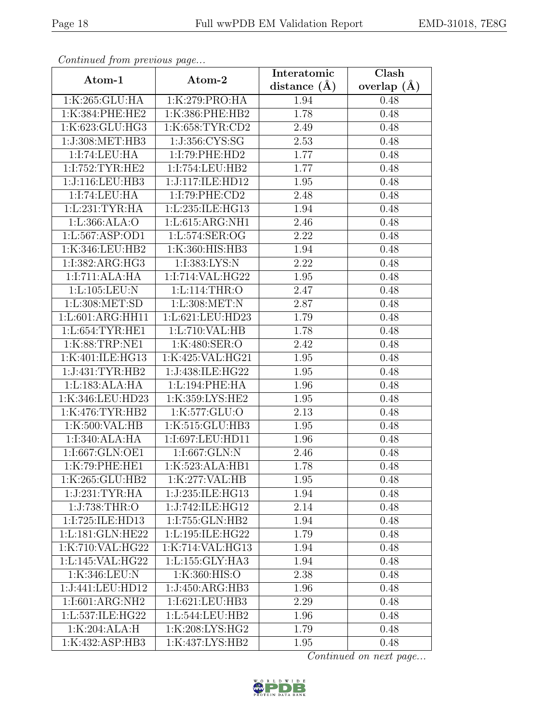| EMD-31018, 7E8G |  |
|-----------------|--|
|-----------------|--|

| Continueu from pretious page |                      | Interatomic      | Clash         |
|------------------------------|----------------------|------------------|---------------|
| Atom-1                       | Atom-2               | distance $(\AA)$ | overlap $(A)$ |
| 1:K:265:GLU:HA               | 1:K:279:PRO:HA       | 1.94             | 0.48          |
| 1:K:384:PHE:HE2              | 1:K:386:PHE:HB2      | 1.78             | 0.48          |
| 1:K:623:GLU:HG3              | 1:K:658:TYR:CD2      | 2.49             | 0.48          |
| 1:J:308:MET:HB3              | 1:J:356:CYS:SG       | 2.53             | 0.48          |
| 1:I:74:LEU:HA                | 1:I:79:PHE:HD2       | 1.77             | 0.48          |
| 1:I:752:TYR:HE2              | 1:I:754:LEU:HB2      | 1.77             | 0.48          |
| 1:J:116:LEU:HB3              | 1:J:117:ILE:HD12     | 1.95             | 0.48          |
| 1:I:74:LEU:HA                | 1:I:79:PHE:CD2       | 2.48             | 0.48          |
| 1: L:231:TYR:HA              | 1:L:235:ILE:HG13     | 1.94             | 0.48          |
| 1:L:366:ALA:O                | 1:L:615:ARG:NH1      | 2.46             | 0.48          |
| 1:L:567:ASP:OD1              | 1:L:574:SER:OG       | 2.22             | 0.48          |
| 1:K:346:LEU:HB2              | 1:K:360:HIS:HB3      | 1.94             | 0.48          |
| 1:1:382:ARG:HG3              | 1:I:383:LYS:N        | 2.22             | 0.48          |
| 1:I:711:ALA:HA               | 1:I:714:VAL:HG22     | 1.95             | 0.48          |
| 1: L: 105: LEU: N            | 1:L:114:THR:O        | 2.47             | 0.48          |
| 1:L:308:MET:SD               | 1:L:308:MET:N        | 2.87             | 0.48          |
| 1:L:601:ARG:HH11             | 1:L:621:LEU:HD23     | 1.79             | 0.48          |
| 1: L:654: TYR: HE1           | 1:L:710:VAL:HB       | 1.78             | 0.48          |
| 1:K:88:TRP:NE1               | 1:K:480:SER:O        | 2.42             | 0.48          |
| 1:K:401:ILE:HG13             | 1:K:425:VAL:HG21     | 1.95             | 0.48          |
| 1:J:431:TYR:HB2              | 1:J:438:ILE:HG22     | 1.95             | 0.48          |
| 1:L:183:ALA:HA               | 1:L:194:PHE:HA       | 1.96             | 0.48          |
| 1:K:346:LEU:HD23             | 1:K:359:LYS:HE2      | 1.95             | 0.48          |
| 1:K:476:TYR:HB2              | 1:K:577:GLU:O        | 2.13             | 0.48          |
| 1:K:500:VAL:HB               | 1:K:515:GLU:HB3      | 1.95             | 0.48          |
| 1:1:340:ALA:HA               | 1:I:697:LEU:HD11     | 1.96             | 0.48          |
| 1:I:667:GLN:OE1              | 1:I:667:GLN:N        | 2.46             | 0.48          |
| 1:K:79:PHE:HE1               | 1:K:523:ALA:HB1      | 1.78             | 0.48          |
| 1:K:265:GLU:HB2              | 1:K:277:VAL:HB       | 1.95             | 0.48          |
| 1:J:231:TYR:HA               | 1:J:235:ILE:HG13     | 1.94             | 0.48          |
| 1:J:738:THR:O                | 1:J:742:ILE:HG12     | 2.14             | 0.48          |
| 1:I:725:ILE:HD13             | 1:I:755:GLN:HB2      | 1.94             | 0.48          |
| 1:L:181:GLN:HE22             | 1: L: 195: ILE: HG22 | 1.79             | 0.48          |
| 1:K:710:VAL:HG22             | 1:K:714:VAL:HG13     | 1.94             | 0.48          |
| 1:L:145:VAL:HG22             | 1:L:155:GLY:HA3      | 1.94             | 0.48          |
| 1:K:346:LEU:N                | 1:K:360:HIS:O        | 2.38             | 0.48          |
| 1:J:441:LEU:HD12             | 1:J:450:ARG:HB3      | 1.96             | 0.48          |
| 1:I:601:ARG:NH2              | 1:1:621:LEU:HB3      | 2.29             | 0.48          |
| 1:L:537:ILE:HG22             | 1:L:544:LEU:HB2      | 1.96             | 0.48          |
| 1:K:204:ALA:H                | 1:K:208:LYS:HG2      | 1.79             | 0.48          |
| 1:K:432:ASP:HB3              | 1:K:437:LYS:HB2      | 1.95             | 0.48          |

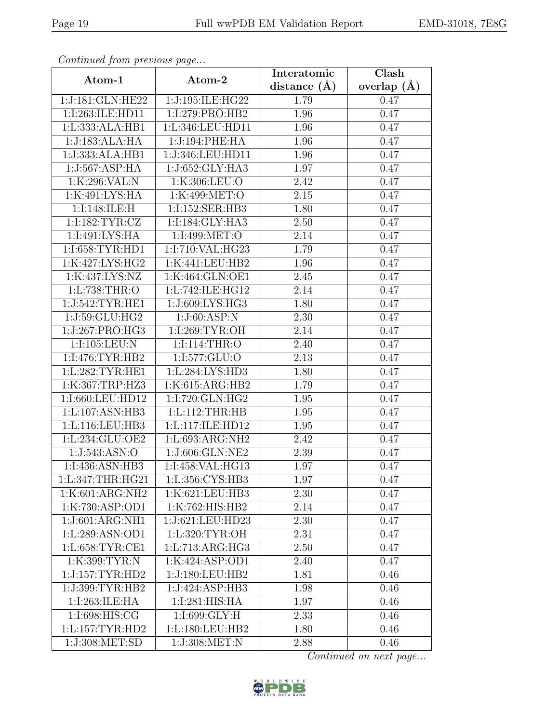| EMD-31018, 7E8G |  |
|-----------------|--|
|-----------------|--|

| Convenaca from previous page |                              | Interatomic       | Clash         |
|------------------------------|------------------------------|-------------------|---------------|
| Atom-1                       | Atom-2                       | distance $(\AA)$  | overlap $(A)$ |
| 1:J:181:GLN:HE22             | 1:J:195:ILE:HG22             | 1.79              | 0.47          |
| 1:I:263:ILE:HD11             | 1:I:279:PRO:HB2              | 1.96              | 0.47          |
| 1:L:333:ALA:HB1              | 1:L:346:LEU:HD11             | 1.96              | 0.47          |
| 1:J:183:ALA:HA               | 1:J:194:PHE:HA               | 1.96              | 0.47          |
| 1:J:333:ALA:HB1              | 1:J:346:LEU:HD11             | 1.96              | 0.47          |
| 1:J:567:ASP:HA               | 1:J:652:GLY:HA3              | 1.97              | 0.47          |
| 1:K:296:VAL:N                | 1:K:306:LEU:O                | 2.42              | 0.47          |
| 1:K:491:LYS:HA               | 1:K:499:MET:O                | 2.15              | 0.47          |
| 1:I:148:ILE:H                | 1:I:152:SER:HB3              | 1.80              | 0.47          |
| 1:I:182:TYR:CZ               | 1:I:184:GLY:HA3              | 2.50              | 0.47          |
| 1:I:491:LYS:HA               | 1:I:499:MET:O                | 2.14              | 0.47          |
| 1:I:658:TYR:HD1              | 1:I:710:VAL:HG23             | 1.79              | 0.47          |
| 1:K:427:LYS:HG2              | 1:K:441:LEU:HB2              | 1.96              | 0.47          |
| 1:K:437:LYS:NZ               | $1:K:464:\overline{GLN:OE1}$ | 2.45              | 0.47          |
| 1:L:738:THR:O                | 1:L:742:ILE:HG12             | 2.14              | 0.47          |
| 1:J:542:TYR:HE1              | 1:J:609:LYS:HG3              | 1.80              | 0.47          |
| 1:J:59:GLU:HG2               | 1:J:60:ASP:N                 | 2.30              | 0.47          |
| 1:J:267:PRO:HG3              | 1:I:269:TYR:OH               | 2.14              | 0.47          |
| 1:I:105:LEU:N                | 1:1:114:THR:O                | 2.40              | 0.47          |
| 1:I:476:TYR:HB2              | 1:I:577:GLU:O                | 2.13              | 0.47          |
| 1: L:282: TYR: HE1           | 1:L:284:LYS:HD3              | 1.80              | 0.47          |
| 1:K:367:TRP:HZ3              | 1:K:615:ARG:HB2              | 1.79              | 0.47          |
| 1:I:660:LEU:HD12             | 1:I:720:GLN:HG2              | 1.95              | 0.47          |
| 1:L:107:ASN:HB3              | 1: L: 112: THR: HB           | $\overline{1.95}$ | 0.47          |
| 1:L:116:LEU:HB3              | 1:L:117:ILE:HD12             | 1.95              | 0.47          |
| 1: L: 234: GLU: OE2          | 1:L:693:ARG:NH2              | 2.42              | 0.47          |
| 1:J:543:ASN:O                | 1:J:606:GLN:NE2              | 2.39              | 0.47          |
| 1:I:436:ASN:HB3              | 1:I:458:VAL:HG13             | 1.97              | 0.47          |
| 1:L:347:THR:HG21             | 1:L:356:CYS:HB3              | 1.97              | 0.47          |
| 1:K:601:ARG:NH2              | 1:K:621:LEU:HB3              | 2.30              | 0.47          |
| 1:K:730:ASP:OD1              | 1:K:762:HIS:HB2              | 2.14              | 0.47          |
| 1:J:601:ARG:NH1              | 1:J:621:LEU:HD23             | 2.30              | 0.47          |
| 1:L:289:ASN:OD1              | 1:L:320:TYR:OH               | 2.31              | 0.47          |
| 1:L:658:TYR:CE1              | 1:L:713:ARG:HG3              | 2.50              | 0.47          |
| 1:K:399:TYR:N                | 1:K:424:ASP:OD1              | 2.40              | 0.47          |
| 1:J:157:TYR:HD2              | 1:J:180:LEU:HB2              | 1.81              | 0.46          |
| 1:J:399:TYR:HB2              | 1:J:424:ASP:HB3              | 1.98              | 0.46          |
| 1:I:263:ILE:HA               | 1:I:281:HIS:HA               | 1.97              | 0.46          |
| 1:I:698:HIS:CG               | 1:I:699:GLY:H                | 2.33              | 0.46          |
| 1: L: 157: TYR: HD2          | 1:L:180:LEU:HB2              | 1.80              | 0.46          |
| 1:J:308:MET:SD               | 1:J:308:MET:N                | 2.88              | 0.46          |

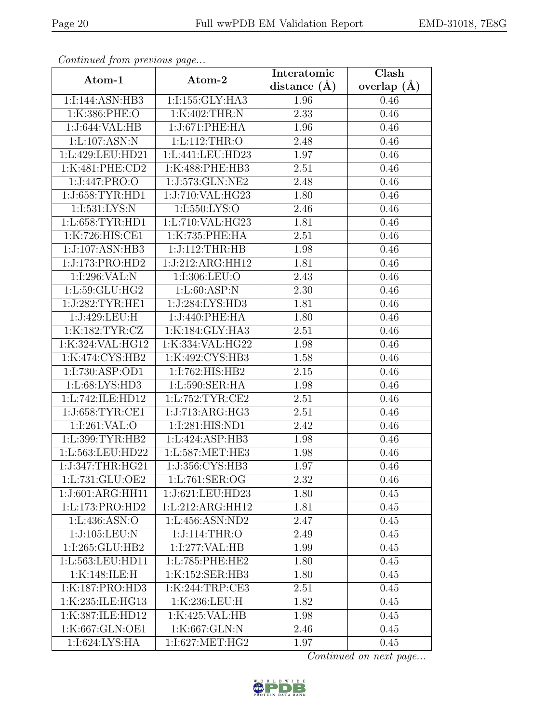| EMD-31018, 7E8G |  |
|-----------------|--|
|-----------------|--|

| ontonaba ji bini protto ab pago |                     | Interatomic    | Clash         |
|---------------------------------|---------------------|----------------|---------------|
| Atom-1                          | Atom-2              | distance $(A)$ | overlap $(A)$ |
| 1:I:144:ASN:HB3                 | 1:I:155:GLY:HA3     | 1.96           | 0.46          |
| 1:K:386:PHE:O                   | 1:K:402:THR:N       | 2.33           | 0.46          |
| 1:J:644:VAL:HB                  | 1:J:671:PHE:HA      | 1.96           | 0.46          |
| 1: L: 107: ASN: N               | 1:L:112:THR:O       | 2.48           | 0.46          |
| 1:L:429:LEU:HD21                | 1:L:441:LEU:HD23    | 1.97           | 0.46          |
| 1:K:481:PHE:CD2                 | 1:K:488:PHE:HB3     | 2.51           | 0.46          |
| 1:J:447:PRO:O                   | 1:J:573:GLN:NE2     | 2.48           | 0.46          |
| 1:J:658:TYR:HDI                 | 1:J:710:VAL:HG23    | 1.80           | 0.46          |
| 1:I:531:LYS:N                   | 1:I:550:LYS:O       | 2.46           | 0.46          |
| 1:L:658:TYR:HD1                 | 1:L:710:VAL:HG23    | 1.81           | 0.46          |
| 1:K:726:HIS:CE1                 | 1:K:735:PHE:HA      | 2.51           | 0.46          |
| 1:J:107:ASN:HB3                 | 1:J:112:THR:HB      | 1.98           | 0.46          |
| 1:J:173:PRO:HD2                 | 1:J:212:ARG:HH12    | 1.81           | 0.46          |
| 1:I:296:VAL:N                   | 1:1:306:LEU:O       | 2.43           | 0.46          |
| 1: L:59: GLU: HG <sub>2</sub>   | 1: L:60:ASP:N       | 2.30           | 0.46          |
| 1:J:282:TYR:HE1                 | 1:J:284:LYS:HD3     | 1.81           | 0.46          |
| 1:J:429:LEU:H                   | 1:J:440:PHE:HA      | 1.80           | 0.46          |
| 1:K:182:TYR:CZ                  | 1:K:184:GLY:HA3     | 2.51           | 0.46          |
| 1:K:324:VAL:HG12                | 1:K:334:VAL:HG22    | 1.98           | 0.46          |
| 1:K:474:CYS:HB2                 | 1:K:492:CYS:HB3     | 1.58           | 0.46          |
| 1:I:730:ASP:OD1                 | 1:I:762:HIS:HB2     | 2.15           | 0.46          |
| 1: L:68: LYS:HD3                | 1:L:590:SER:HA      | 1.98           | 0.46          |
| 1:L:742:ILE:HD12                | 1:L:752:TYR:CE2     | 2.51           | 0.46          |
| 1:J:658:TYR:CE1                 | 1:J:713:ARG:HG3     | 2.51           | 0.46          |
| 1:1:261:VAL:O                   | 1:I:281:HIS:ND1     | 2.42           | 0.46          |
| 1:L:399:TYR:HB2                 | 1:L:424:ASP:HB3     | 1.98           | 0.46          |
| 1:L:563:LEU:HD22                | 1: L: 587: MET: HE3 | 1.98           | 0.46          |
| 1:J:347:THR:HG21                | 1:J:356:CYS:HB3     | 1.97           | 0.46          |
| 1:L:731:GLU:OE2                 | 1:L:761:SER:OG      | 2.32           | 0.46          |
| 1:J:601:ARG:HH11                | 1:J:621:LEU:HD23    | 1.80           | 0.45          |
| 1:L:173:PRO:HD2                 | 1:L:212:ARG:HH12    | 1.81           | 0.45          |
| 1:L:436:ASN:O                   | 1:L:456:ASN:ND2     | 2.47           | 0.45          |
| 1:J:105:LEU:N                   | 1:J:114:THR:O       | 2.49           | 0.45          |
| 1:I:265:GLU:HB2                 | 1:I:277:VAL:HB      | 1.99           | 0.45          |
| 1:L:563:LEU:HD11                | 1: L: 785: PHE: HE2 | 1.80           | 0.45          |
| 1:K:148:ILE:H                   | 1:K:152:SER:HB3     | 1.80           | 0.45          |
| 1:K:187:PRO:HD3                 | 1:K:244:TRP:CE3     | 2.51           | 0.45          |
| 1:K:235:ILE:HG13                | 1:K:236:LEU:H       | 1.82           | 0.45          |
| 1:K:387:ILE:HD12                | 1:K:425:VAL:HB      | 1.98           | 0.45          |
| 1:K:667:GLN:OE1                 | 1:K:667:GLN:N       | 2.46           | 0.45          |
| $1:1:62\overline{4:LYS:HA}$     | 1:I:627:MET:HG2     | 1.97           | 0.45          |

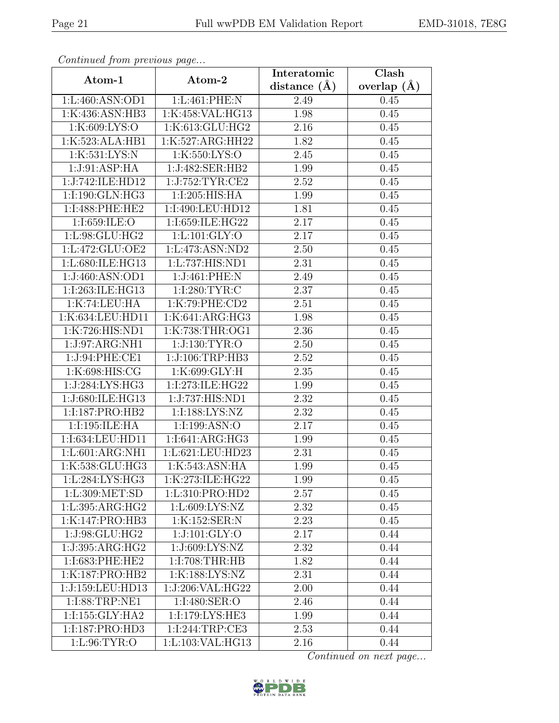| EMD-31018. 7E8G |  |
|-----------------|--|
|-----------------|--|

| $P$ . The same $P$ is the set of $P$ and $P$ and $P$ |                            | Interatomic      | Clash           |
|------------------------------------------------------|----------------------------|------------------|-----------------|
| Atom-1                                               | Atom-2                     | distance $(\AA)$ | overlap $(\AA)$ |
| 1:L:460:ASN:OD1                                      | 1:L:461:PHE:N              | 2.49             | 0.45            |
| 1:K:436:ASN:HB3                                      | 1:K:458:VAL:HG13           | 1.98             | 0.45            |
| 1:K:609:LYS:O                                        | 1:K:613:GLU:HG2            | 2.16             | 0.45            |
| 1:K:523:ALA:HB1                                      | 1:K:527:ARG:HH22           | 1.82             | 0.45            |
| 1:K:531:LYS:N                                        | 1:K:550:LYS:O              | 2.45             | 0.45            |
| 1:J:91:ASP:HA                                        | 1:J:482:SER:HB2            | 1.99             | 0.45            |
| 1:J:742:ILE:HD12                                     | 1:J:752:TYR:CE2            | $2.52\,$         | 0.45            |
| 1:1:190:GLN:HG3                                      | 1:I:205:HIS:HA             | 1.99             | 0.45            |
| 1:I:488:PHE:HE2                                      | 1:I:490:LEU:HD12           | 1.81             | 0.45            |
| 1:I:659:ILE:O                                        | 1:I:659:ILE:HG22           | 2.17             | 0.45            |
| 1:L:98:GLU:HG2                                       | 1:Li:101:GLY:O             | 2.17             | 0.45            |
| 1:L:472:GLU:OE2                                      | 1:L:473:ASN:ND2            | 2.50             | 0.45            |
| 1:L:680:ILE:HG13                                     | 1: L: 737: HIS: NDI        | $2.31\,$         | 0.45            |
| 1:J:460:ASN:OD1                                      | 1:J:461:PHE:N              | 2.49             | 0.45            |
| 1:I:263:ILE:HG13                                     | 1:1:280:TYR:C              | 2.37             | 0.45            |
| 1:K:74:LEU:HA                                        | 1:K:79:PHE:CD2             | 2.51             | 0.45            |
| 1:K:634:LEU:HD11                                     | 1:K:641:ARG:HG3            | 1.98             | 0.45            |
| 1:K:726:HIS:ND1                                      | 1:K:738:THR:OG1            | 2.36             | 0.45            |
| 1:J:97:ARG:NH1                                       | 1:J:130:TYR:O              | 2.50             | 0.45            |
| 1:J:94:PHE:CE1                                       | 1:J:106:TRP:HB3            | 2.52             | 0.45            |
| 1:K:698:HIS:CG                                       | 1:K:699:GLY:H              | $2.35\,$         | 0.45            |
| 1:J:284:LYS:HG3                                      | 1:I:273:ILE:HG22           | 1.99             | 0.45            |
| 1:J:680:ILE:HG13                                     | 1:J:737:HIS:ND1            | 2.32             | 0.45            |
| 1:I:187:PRO:HB2                                      | 1:I:188:LYS:NZ             | 2.32             | 0.45            |
| 1:I:195:ILE:HA                                       | 1:I:199:ASN:O              | 2.17             | 0.45            |
| 1:I:634:LEU:HD11                                     | 1:I:641:ARG:HG3            | 1.99             | 0.45            |
| 1: L:601: ARG:NH1                                    | 1:L:621:LEU:HD23           | 2.31             | 0.45            |
| 1:K:538:GLU:HG3                                      | 1:K:543:ASN:HA             | 1.99             | 0.45            |
| 1:L:284:LYS:HG3                                      | 1:K:273:ILE:HG22           | 1.99             | 0.45            |
| 1:L:309:MET:SD                                       | 1:L:310:PRO:HD2            | 2.57             | 0.45            |
| 1:L:395:ARG:HG2                                      | 1: L:609: LYS: NZ          | 2.32             | 0.45            |
| 1:K:147:PRO:HB3                                      | 1:K:152:SER:N              | 2.23             | 0.45            |
| 1:J:98:GLU:HG2                                       | $1:J:101:\overline{GLY:O}$ | 2.17             | 0.44            |
| 1:J:395:ARG:HG2                                      | 1:J:609:LYS:NZ             | 2.32             | 0.44            |
| 1:I:683:PHE:HE2                                      | 1:I:708:THR:HB             | 1.82             | 0.44            |
| 1:K:187:PRO:HB2                                      | 1:K:188:LYS:NZ             | 2.31             | 0.44            |
| 1:J:159:LEU:HD13                                     | 1:J:206:VAL:HG22           | 2.00             | 0.44            |
| 1:I:88:TRP:NE1                                       | 1:I:480:SER:O              | 2.46             | 0.44            |
| 1:I:155:GLY:HA2                                      | 1:I:179:LYS:HE3            | 1.99             | 0.44            |
| 1:I:187:PRO:HD3                                      | 1:I:244:TRP:CE3            | 2.53             | 0.44            |
| 1:L:96:TYR:O                                         | 1:L:103:VAL:HG13           | 2.16             | 0.44            |

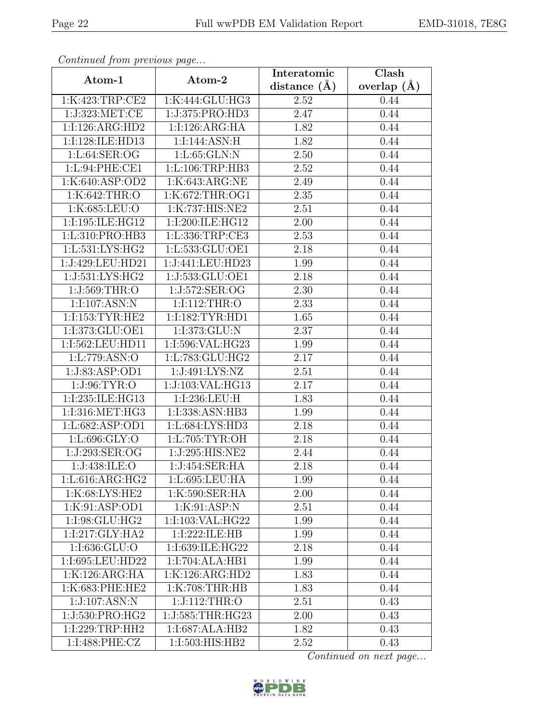| EMD-31018. 7E8G |  |
|-----------------|--|
|-----------------|--|

| Continua from previous page |                  | Interatomic       | $\overline{\text{Clash}}$ |
|-----------------------------|------------------|-------------------|---------------------------|
| Atom-1                      | Atom-2           | distance $(A)$    | overlap $(A)$             |
| 1:K:423:TRP:CE2             | 1:K:444:GLU:HG3  | 2.52              | 0.44                      |
| 1:J:323:MET:CE              | 1:J:375:PRO:HD3  | 2.47              | 0.44                      |
| 1:1:126:ARG:HD2             | 1:I:126:ARG:HA   | 1.82              | 0.44                      |
| 1:I:128:ILE:HD13            | 1:I:144:ASN:H    | 1.82              | 0.44                      |
| 1:L:64:SER:OG               | 1: L:65: GLN:N   | 2.50              | 0.44                      |
| 1:L:94:PHE:CE1              | 1:L:106:TRP:HB3  | 2.52              | 0.44                      |
| 1:K:640:ASP:OD2             | 1:K:643:ARG:NE   | 2.49              | 0.44                      |
| 1:K:642:THR:O               | 1:K:672:THR:OG1  | 2.35              | 0.44                      |
| 1:K:685:LEU:O               | 1:K:737:HIS:NE2  | $\overline{2.51}$ | 0.44                      |
| 1:I:195:ILE:HG12            | 1:I:200:ILE:HG12 | 2.00              | 0.44                      |
| 1:L:310:PRO:HB3             | 1:L:336:TRP:CE3  | 2.53              | 0.44                      |
| 1:L:531:LYS:HG2             | 1:L:533:GLU:OE1  | 2.18              | 0.44                      |
| 1:J:429:LEU:HD21            | 1:J:441:LEU:HD23 | 1.99              | 0.44                      |
| 1:J:531:LYS:HG2             | 1:J:533:GLU:OE1  | 2.18              | 0.44                      |
| 1:J:569:THR:O               | 1:J:572:SER:OG   | 2.30              | 0.44                      |
| 1:I:107:ASN:N               | 1:I:112:THR:O    | 2.33              | 0.44                      |
| 1:I:153:TYR:HE2             | 1:I:182:TYR:HD1  | 1.65              | 0.44                      |
| 1:I:373:GLU:OE1             | 1:I:373:GLU:N    | 2.37              | 0.44                      |
| 1:I:562:LEU:HD11            | 1:I:596:VAL:HG23 | 1.99              | 0.44                      |
| 1:L:779:ASN:O               | 1:L:783:GLU:HG2  | 2.17              | 0.44                      |
| 1:J:83:ASP:OD1              | 1:J:491:LYS:NZ   | 2.51              | 0.44                      |
| 1:J:96:TYR:O                | 1:J:103:VAL:HG13 | 2.17              | 0.44                      |
| 1:I:235:ILE:HG13            | 1:I:236:LEU:H    | 1.83              | 0.44                      |
| 1:I:316:MET:HG3             | 1:I:338:ASN:HB3  | 1.99              | 0.44                      |
| 1:L:682:ASP:OD1             | 1:L:684:LYS:HD3  | 2.18              | 0.44                      |
| 1:L:696:GLY:O               | 1: L:705: TYR:OH | 2.18              | 0.44                      |
| 1:J:293:SER:OG              | 1:J:295:HIS:NE2  | 2.44              | 0.44                      |
| 1:J:438:ILE:O               | 1:J:454:SER:HA   | 2.18              | 0.44                      |
| 1:L:616:ARG:HG2             | 1:L:695:LEU:HA   | 1.99              | 0.44                      |
| 1:K:68:LYS:HE2              | 1:K:590:SER:HA   | 2.00              | 0.44                      |
| 1:K:91:ASP:OD1              | 1:K:91:ASP:N     | 2.51              | 0.44                      |
| 1:I:98:GLU:HG2              | 1:I:103:VAL:HG22 | 1.99              | 0.44                      |
| 1:1:217:GLY:HA2             | 1:I:222:ILE:HB   | 1.99              | 0.44                      |
| 1:I:636:GLU:O               | 1:I:639:ILE:HG22 | 2.18              | 0.44                      |
| 1:I:695:LEU:HD22            | 1:I:704:ALA:HB1  | 1.99              | 0.44                      |
| 1:K:126:ARG:HA              | 1:K:126:ARG:HD2  | 1.83              | 0.44                      |
| 1:K:683:PHE:HE2             | 1:K:708:THR:HB   | 1.83              | 0.44                      |
| 1:J:107:ASN:N               | 1:J:112:THR:O    | 2.51              | 0.43                      |
| 1:J:530:PRO:HG2             | 1:J:585:THR:HG23 | 2.00              | 0.43                      |
| 1:I:229:TRP:HH2             | 1:I:687:ALA:HB2  | 1.82              | 0.43                      |
| 1:I:488:PHE:CZ              | 1:I:503:HIS:HB2  | 2.52              | 0.43                      |

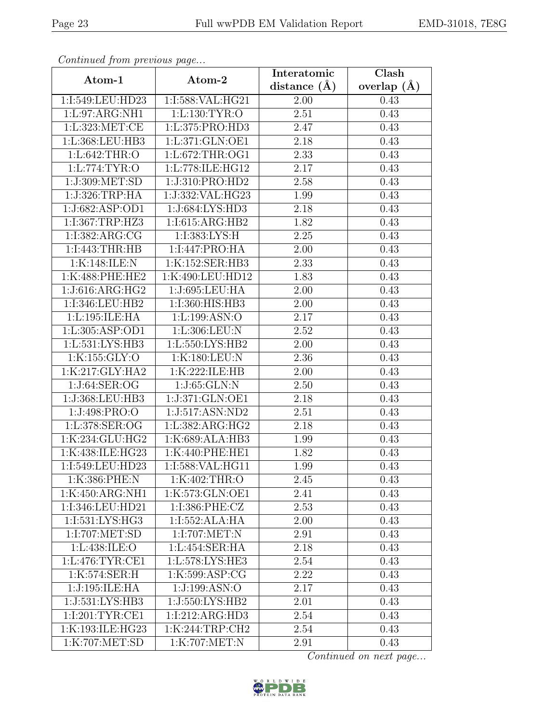| EMD-31018. 7E8G |  |
|-----------------|--|
|-----------------|--|

| Continued from previous page |                                   | Interatomic       | Clash           |
|------------------------------|-----------------------------------|-------------------|-----------------|
| Atom-1                       | Atom-2                            | distance $(A)$    | overlap $(\AA)$ |
| 1:I:549:LEU:HD23             | 1:I:588:VAL:HG21                  | 2.00              | 0.43            |
| 1:L:97:ARG:NH1               | 1:Li.130:TYR:O                    | $\overline{2.51}$ | 0.43            |
| 1: L:323: MET:CE             | 1:L:375:PRO:HD3                   | 2.47              | 0.43            |
| 1:L:368:LEU:HB3              | 1:L:371:GLN:OE1                   | 2.18              | 0.43            |
| 1: L:642:THR:O               | 1: L:672:THR:OG1                  | 2.33              | 0.43            |
| 1: L:774: TYR:O              | 1:L:778:ILE:HG12                  | 2.17              | 0.43            |
| 1:J:309:MET:SD               | 1:J:310:PRO:HD2                   | 2.58              | 0.43            |
| 1:J:326:TRP:HA               | 1:J:332: VAL: HG23                | 1.99              | 0.43            |
| 1:J:682:ASP:OD1              | 1:J:684:LYS:HD3                   | 2.18              | 0.43            |
| 1:I:367:TRP:HZ3              | 1:1:615:ARG:HB2                   | 1.82              | 0.43            |
| 1:I:382:ARG:CG               | 1:I:383:LYS:H                     | 2.25              | 0.43            |
| 1:I:443:THR:HB               | 1:I:447:PRO:HA                    | 2.00              | 0.43            |
| 1:K:148:ILE:N                | 1:K:152:SER:HB3                   | 2.33              | 0.43            |
| 1:K:488:PHE:HE2              | 1:K:490:LEU:HD12                  | 1.83              | 0.43            |
| 1:J:616:ARG:HG2              | 1:J:695:LEU:HA                    | 2.00              | 0.43            |
| 1:I:346:LEU:HB2              | 1:I:360:HIS:HB3                   | 2.00              | 0.43            |
| 1:L:195:ILE:HA               | 1:L:199:ASN:O                     | 2.17              | 0.43            |
| 1:L:305:ASP:OD1              | 1:L:306:LEU:N                     | 2.52              | 0.43            |
| 1:L:531:LYS:HB3              | 1:L:550:LYS:HB2                   | 2.00              | 0.43            |
| 1:K:155:GLY:O                | 1:K:180:LEU:N                     | 2.36              | 0.43            |
| 1:K:217:GLY:HA2              | 1:K:222:ILE:HB                    | 2.00              | 0.43            |
| 1:J:64:SER:OG                | 1:J:65:GLN:N                      | 2.50              | 0.43            |
| 1:J:368:LEU:HB3              | 1:J:371:GLN:OE1                   | 2.18              | 0.43            |
| 1:J:498:PRO:O                | 1:J:517:ASN:ND2                   | 2.51              | 0.43            |
| 1:L:378:SER:OG               | 1:L:382:ARG:HG2                   | 2.18              | 0.43            |
| 1:K:234:GLU:HG2              | 1:K:689:ALA:HB3                   | 1.99              | 0.43            |
| 1:K:438:ILE:HG23             | 1:K:440:PHE:HE1                   | 1.82              | 0.43            |
| 1:I:549:LEU:HD23             | 1:I:588:VAL:HG11                  | 1.99              | 0.43            |
| 1:K:386:PHE:N                | 1:K:402:THR:O                     | 2.45              | 0.43            |
| 1:K:450:ARG:NH1              | 1:K:573:GLN:OE1                   | 2.41              | 0.43            |
| 1:I:346:LEU:HD21             | 1:I:386:PHE:CZ                    | 2.53              | 0.43            |
| 1:I:531:LYS:HG3              | 1:I:552:ALA:HA                    | 2.00              | 0.43            |
| 1:I:707:MET:SD               | $1:I:707:MET:\overline{\hbox{N}}$ | 2.91              | 0.43            |
| 1:L:438:ILE:O                | 1:L:454:SER:HA                    | 2.18              | 0.43            |
| 1: L:476: TYR: CE1           | 1:L:578:LYS:HE3                   | 2.54              | 0.43            |
| 1:K:574:SER:H                | 1:K:599:ASP:CG                    | 2.22              | 0.43            |
| 1:J:195:ILE:HA               | 1:J:199:ASN:O                     | 2.17              | 0.43            |
| 1:J:531:LYS:HB3              | 1:J:550:LYS:HB2                   | 2.01              | 0.43            |
| 1:1:201:TYR:CE1              | 1:1:212:ARG:HD3                   | 2.54              | 0.43            |
| 1:K:193:ILE:HG23             | 1:K:244:TRP:CH2                   | 2.54              | 0.43            |
| 1:K:707:MET:SD               | 1:K:707:MET:N                     | 2.91              | 0.43            |

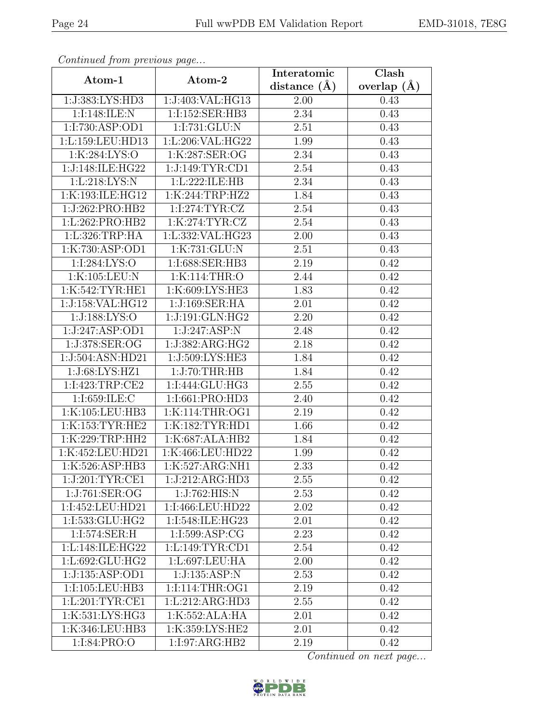| EMD-31018, 7E8G |  |
|-----------------|--|
|-----------------|--|

|                  |                  | Interatomic    | $\overline{\text{Clash}}$ |  |
|------------------|------------------|----------------|---------------------------|--|
| Atom-1           | Atom-2           | distance $(A)$ | overlap $(A)$             |  |
| 1:J:383:LYS:HD3  | 1:J:403:VAL:HG13 | 2.00           | 0.43                      |  |
| 1:I:148:ILE:N    | 1:I:152:SER:HB3  | 2.34           | 0.43                      |  |
| 1:I:730:ASP:OD1  | 1:I:731:GLU:N    | 2.51           | 0.43                      |  |
| 1:L:159:LEU:HD13 | 1:L:206:VAL:HG22 | 1.99           | 0.43                      |  |
| 1:K:284:LYS:O    | 1:K:287:SER:OG   | 2.34           | 0.43                      |  |
| 1:J:148:ILE:HG22 | 1:J:149:TYR:CD1  | 2.54           | 0.43                      |  |
| 1:L:218:LYS:N    | 1:L:222:ILE:HB   | 2.34           | 0.43                      |  |
| 1:K:193:ILE:HG12 | 1:K:244:TRP:HZ2  | 1.84           | 0.43                      |  |
| 1:J:262:PRO:HB2  | 1:1:274:TYR:CZ   | 2.54           | 0.43                      |  |
| 1:L:262:PRO:HB2  | 1:K:274:TYR:CZ   | 2.54           | 0.43                      |  |
| 1:L:326:TRP:HA   | 1:L:332:VAL:HG23 | 2.00           | 0.43                      |  |
| 1:K:730:ASP:OD1  | 1:K:731:GLU:N    | 2.51           | 0.43                      |  |
| 1:I:284:LYS:O    | 1:I:688:SER:HB3  | 2.19           | 0.42                      |  |
| 1:K:105:LEU:N    | 1:K:114:THR:O    | 2.44           | 0.42                      |  |
| 1:K:542:TYR:HE1  | 1:K:609:LYS:HE3  | 1.83           | 0.42                      |  |
| 1:J:158:VAL:HG12 | 1:J:169:SER:HA   | 2.01           | 0.42                      |  |
| 1:J:188:LYS:O    | 1:J:191:GLN:HG2  | 2.20           | 0.42                      |  |
| 1:J:247:ASP:OD1  | 1:J:247:ASP:N    | 2.48           | 0.42                      |  |
| 1:J:378:SER:OG   | 1:J:382:ARG:HG2  | 2.18           | 0.42                      |  |
| 1:J:504:ASN:HD21 | 1:J:509:LYS:HE3  | 1.84           | 0.42                      |  |
| 1:J:68:LYS:HZ1   | 1:J:70:THR:HB    | 1.84           | 0.42                      |  |
| 1:I:423:TRP:CE2  | 1:I:444:GLU:HG3  | 2.55           | 0.42                      |  |
| 1:1:659:ILE:C    | 1:I:661:PRO:HD3  | 2.40           | 0.42                      |  |
| 1:K:105:LEU:HB3  | 1:K:114:THR:OG1  | 2.19           | 0.42                      |  |
| 1:K:153:TYR:HE2  | 1:K:182:TYR:HDI  | 1.66           | 0.42                      |  |
| 1:K:229:TRP:HH2  | 1:K:687:ALA:HB2  | 1.84           | 0.42                      |  |
| 1:K:452:LEU:HD21 | 1:K:466:LEU:HD22 | 1.99           | 0.42                      |  |
| 1:K:526:ASP:HB3  | 1:K:527:ARG:NH1  | 2.33           | 0.42                      |  |
| 1:J:201:TYR:CE1  | 1:J:212:ARG:HD3  | 2.55           | 0.42                      |  |
| 1:J:761:SER:OG   | 1:J:762:HIS:N    | 2.53           | 0.42                      |  |
| 1:I:452:LEU:HD21 | 1:I:466:LEU:HD22 | 2.02           | 0.42                      |  |
| 1:I:533:GLU:HG2  | 1:I:548:ILE:HG23 | 2.01           | 0.42                      |  |
| 1:I:574:SER:H    | 1:1:599:ASP:CG   | 2.23           | 0.42                      |  |
| 1:L:148:ILE:HG22 | 1:L:149:TYR:CD1  | 2.54           | 0.42                      |  |
| 1:L:692:GLU:HG2  | 1:L:697:LEU:HA   | 2.00           | 0.42                      |  |
| 1:J:135:ASP:OD1  | 1:J:135:ASP:N    | 2.53           | 0.42                      |  |
| 1:I:105:LEU:HB3  | 1:1:114:THR:OG1  | 2.19           | 0.42                      |  |
| 1:L:201:TYR:CE1  | 1:L:212:ARG:HD3  | 2.55           | 0.42                      |  |
| 1:K:531:LYS:HG3  | 1:K:552:ALA:HA   | 2.01           | 0.42                      |  |
| 1:K:346:LEU:HB3  | 1:K:359:LYS:HE2  | 2.01           | 0.42                      |  |
| 1:I:84:PRO:O     | 1:I:97:ARG:HB2   | 2.19           | 0.42                      |  |

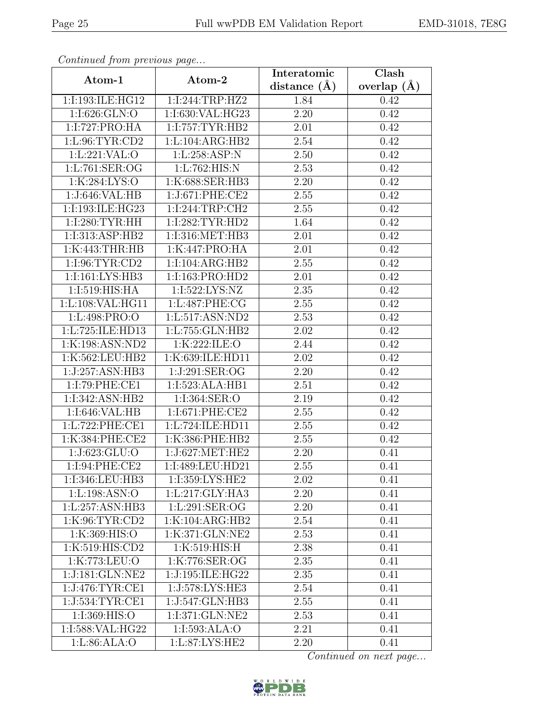| EMD-31018. 7E8G |  |
|-----------------|--|
|-----------------|--|

| Continuea from previous page |                  | Interatomic       | Clash           |  |
|------------------------------|------------------|-------------------|-----------------|--|
| Atom-1                       | Atom-2           | distance $(A)$    | overlap $(\AA)$ |  |
| 1:I:193:ILE:HG12             | 1:I:244:TRP:HZ2  | 1.84              | 0.42            |  |
| 1:1:626:GLN:O                | 1:I:630:VAL:HG23 | $\overline{2.20}$ | 0.42            |  |
| 1:I:727:PRO:HA               | 1:I:757:TYR:HB2  | 2.01              | 0.42            |  |
| 1: L:96: TYR:CD2             | 1:L:104:ARG:HB2  | 2.54              | 0.42            |  |
| 1:L:221:VAL:O                | 1: L:258:ASP:N   | 2.50              | 0.42            |  |
| 1:L:761:SER:OG               | 1:L:762:HIS:N    | 2.53              | 0.42            |  |
| 1:K:284:LYS:O                | 1:K:688:SER:HB3  | 2.20              | 0.42            |  |
| 1:J:646:VAL:HB               | 1:J:671:PHE:CE2  | 2.55              | 0.42            |  |
| 1:I:193:ILE:HG23             | 1:I:244:TRP:CH2  | 2.55              | 0.42            |  |
| 1:I:280:TYR:HH               | 1:I:282:TYR:HD2  | 1.64              | 0.42            |  |
| 1:I:313:ASP:HB2              | 1:I:316:MET:HB3  | 2.01              | 0.42            |  |
| 1:K:443:THR:HB               | 1:K:447:PRO:HA   | 2.01              | 0.42            |  |
| 1:I:96:TYR:CD2               | 1:I:104:ARG:HB2  | 2.55              | 0.42            |  |
| 1:I:161:LYS:HB3              | 1:I:163:PRO:HD2  | 2.01              | 0.42            |  |
| 1:I:519:HIS:HA               | 1:I:522:LYS:NZ   | 2.35              | 0.42            |  |
| 1:L:108:VAL:HG11             | 1:L:487:PHE:CG   | 2.55              | 0.42            |  |
| 1:L:498:PRO:O                | 1:L:517:ASN:ND2  | 2.53              | 0.42            |  |
| 1:L:725:ILE:HD13             | 1:L:755:GLN:HB2  | 2.02              | 0.42            |  |
| 1:K:198:ASN:ND2              | 1:K:222:ILE:O    | 2.44              | 0.42            |  |
| 1:K:562:LEU:HB2              | 1:K:639:ILE:HD11 | 2.02              | 0.42            |  |
| 1:J:257:ASN:HB3              | 1:J:291:SER:OG   | 2.20              | 0.42            |  |
| 1:I:79:PHE:CE1               | 1:I:523:ALA:HB1  | 2.51              | 0.42            |  |
| 1:I:342:ASN:HB2              | 1:I:364:SER:O    | 2.19              | 0.42            |  |
| 1:I:646:VAL:HB               | 1:I:671:PHE:CE2  | 2.55              | 0.42            |  |
| 1:L:722:PHE:CE1              | 1:L:724:ILE:HD11 | 2.55              | 0.42            |  |
| 1:K:384:PHE:CE2              | 1:K:386:PHE:HB2  | $2.55\,$          | 0.42            |  |
| 1:J:623:GLU:O                | 1:J:627:MET:HE2  | 2.20              | 0.41            |  |
| 1:I:94:PHE:CE2               | 1:I:489:LEU:HD21 | 2.55              | 0.41            |  |
| 1:I:346:LEU:HB3              | 1:I:359:LYS:HE2  | 2.02              | 0.41            |  |
| 1:L:198:ASN:O                | 1:L:217:GLY:HA3  | 2.20              | 0.41            |  |
| 1: L: 257: ASN: HB3          | 1:L:291:SER:OG   | 2.20              | 0.41            |  |
| 1:K:96:TYR:CD2               | 1:K:104:ARG:HB2  | 2.54              | 0.41            |  |
| 1:K:369:HIS:O                | 1:K:371:GLN:NE2  | 2.53              | 0.41            |  |
| 1:K:519:HIS:CD2              | 1:K:519:HIS:H    | 2.38              | 0.41            |  |
| 1:K:773:LEU:O                | 1:K:776:SER:OG   | 2.35              | 0.41            |  |
| 1:J:181:GLN:NE2              | 1:J:195:ILE:HG22 | 2.35              | 0.41            |  |
| 1:J:476:TYR:CE1              | 1:J:578:LYS:HE3  | 2.54              | 0.41            |  |
| 1:J:534:TYR:CE1              | 1:J:547:GLN:HB3  | $2.55\,$          | 0.41            |  |
| 1:I:369:HIS:O                | 1:I:371:GLN:NE2  | 2.53              | 0.41            |  |
| 1:I:588:VAL:HG22             | 1:I:593:ALA:O    | 2.21              | 0.41            |  |
| 1:L:86:ALA:O                 | 1:L:87:LYS:HE2   | 2.20              | 0.41            |  |

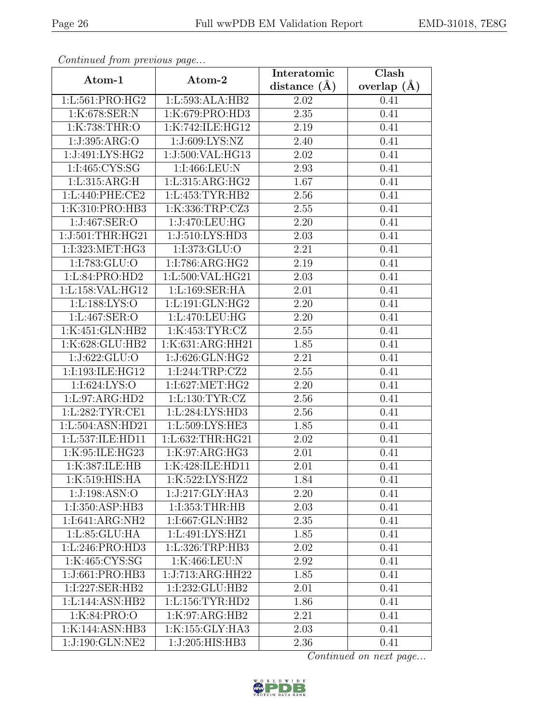| EMD-31018. 7E8G |  |
|-----------------|--|
|-----------------|--|

| Continueu from previous page       |                               | Interatomic      | Clash         |  |
|------------------------------------|-------------------------------|------------------|---------------|--|
| Atom-1                             | Atom-2                        | distance $(\AA)$ | overlap $(A)$ |  |
| 1:L:561:PRO:HG2                    | 1: L: 593: ALA: HB2           | 2.02             | 0.41          |  |
| 1:K:678:SER:N                      | 1:K:679:PRO:HD3               | 2.35             | 0.41          |  |
| 1:K:738:THR:O                      | 1:K:742:ILE:HG12              | 2.19             | 0.41          |  |
| 1:J:395:ARG:O                      | 1:J:609:LYS:NZ                | 2.40             | 0.41          |  |
| 1:J:491:LYS:HG2                    | 1:J:500:VAL:HG13              | 2.02             | 0.41          |  |
| 1:I:465:CYS:SG                     | 1:I:466:LEU:N                 | 2.93             | 0.41          |  |
| 1: L:315: ARG:H                    | 1:L:315:ARG:HG2               | 1.67             | 0.41          |  |
| 1:L:440:PHE:CE2                    | 1: L: 453: TYR: HB2           | 2.56             | 0.41          |  |
| 1:K:310:PRO:HB3                    | 1:K:336:TRP:CZ3               | 2.55             | 0.41          |  |
| 1:J:467:SER:O                      | 1:J:470:LEU:HG                | 2.20             | 0.41          |  |
| 1:J:501:THR:HG21                   | 1:J:510:LYS:HD3               | 2.03             | 0.41          |  |
| 1:I:323:MET:HG3                    | 1:I:373:GLU:O                 | 2.21             | 0.41          |  |
| 1:I:783:GLU:O                      | 1:I:786:ARG:HG2               | 2.19             | 0.41          |  |
| 1:L:84:PRO:HD2                     | 1:L:500:VAL:HG21              | 2.03             | 0.41          |  |
| 1:L:158:VAL:HG12                   | 1:L:169:SER:HA                | 2.01             | 0.41          |  |
| 1:L:188:LYS:O                      | 1:L:191:GLN:HG2               | 2.20             | 0.41          |  |
| 1:L:467:SER:O                      | 1:L:470:LEU:HG                | 2.20             | 0.41          |  |
| 1:K:451:GLN:HB2                    | 1:K:453:TYR:CZ                | 2.55             | 0.41          |  |
| 1:K:628:GLU:HB2                    | $1:K:631:A\overline{RG:HH21}$ | 1.85             | 0.41          |  |
| 1:J:622:GLU:O                      | 1:J:626:GLN:HG2               | 2.21             | 0.41          |  |
| 1:I:193:ILE:HG12                   | 1:I:244:TRP:CZ2               | 2.55             | 0.41          |  |
| 1:I:624:LYS:O                      | 1:I:627:MET:HG2               | 2.20             | 0.41          |  |
| 1: L:97: ARG:HD2                   | 1: L: 130: TYR: CZ            | 2.56             | 0.41          |  |
| 1:L:282:TYR:CE1                    | 1:L:284:LYS:HD3               | 2.56             | 0.41          |  |
| 1:L:504:ASN:HD21                   | 1:L:509:LYS:HE3               | 1.85             | 0.41          |  |
| 1: L: 537: ILE: HD11               | 1:L:632:THR:HG21              | 2.02             | 0.41          |  |
| 1:K:95:ILE:HG23                    | 1:K:97:ARG:HG3                | 2.01             | 0.41          |  |
| $1:K:387:\overline{\text{ILE:HB}}$ | 1:K:428:ILE:HD11              | 2.01             | 0.41          |  |
| 1:K:519:HIS:HA                     | 1:K:522:LYS:HZ2               | 1.84             | 0.41          |  |
| 1:J:198:ASN:O                      | 1:J:217:GLY:HA3               | 2.20             | 0.41          |  |
| 1:I:350:ASP:HB3                    | 1:I:353:THR:HB                | 2.03             | 0.41          |  |
| 1:I:641:ARG:NH2                    | 1:I:667:GLN:HB2               | $2.35\,$         | 0.41          |  |
| 1:L:85:GLU:HA                      | 1:L:491:LYS:HZ1               | 1.85             | 0.41          |  |
| 1:L:246:PRO:HD3                    | 1:L:326:TRP:HB3               | $2.02\,$         | 0.41          |  |
| 1:K:465:CYS:SG                     | 1:K:466:LEU:N                 | 2.92             | 0.41          |  |
| 1:J:661:PRO:HB3                    | 1:J:713:ARG:HH22              | 1.85             | 0.41          |  |
| 1:I:227:SER:HB2                    | 1:I:232:GLU:HB2               | 2.01             | 0.41          |  |
| $1:L:144:A\overline{SN:H}B2$       | 1: L: 156: TYR: HD2           | 1.86             | 0.41          |  |
| 1:K:84:PRO:O                       | 1:K:97:ARG:HB2                | 2.21             | 0.41          |  |
| 1:K:144:ASN:HB3                    | 1:K:155:GLY:HA3               | 2.03             | 0.41          |  |
| 1:J:190:GLN:NE2                    | 1:J:205:HIS:HB3               | 2.36             | 0.41          |  |

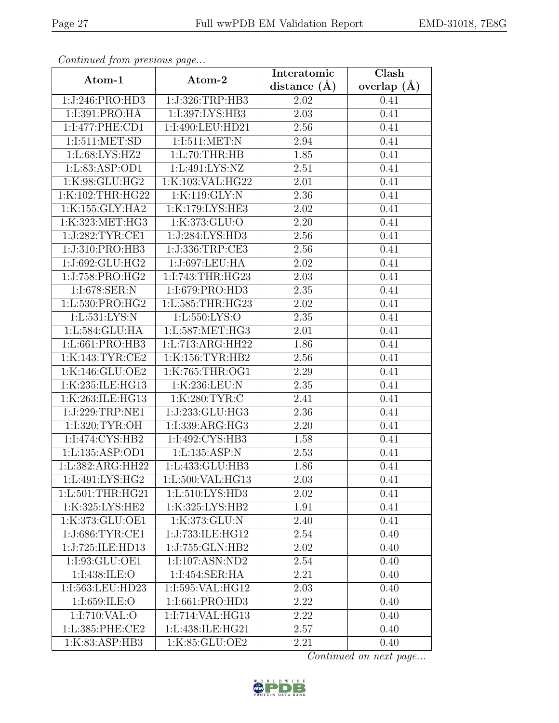| EMD-31018, 7E8G |  |
|-----------------|--|
|-----------------|--|

| Conventura prome previous page |                     | Interatomic      | Clash         |
|--------------------------------|---------------------|------------------|---------------|
| Atom-1                         | Atom-2              | distance $(\AA)$ | overlap $(A)$ |
| 1:J:246:PRO:HD3                | 1:J:326:TRP:HB3     | 2.02             | 0.41          |
| 1:I:391:PRO:HA                 | 1:I:397:LYS:HB3     | 2.03             | 0.41          |
| 1:1:477:PHE:CD1                | 1:I:490:LEU:HD21    | 2.56             | 0.41          |
| 1:I:511:MET:SD                 | 1:I:511:MET:N       | 2.94             | 0.41          |
| 1:L:68:LYS:HZ2                 | 1: L: 70: THR: HB   | 1.85             | 0.41          |
| 1:L:83:ASP:OD1                 | 1:L:491:LYS:NZ      | 2.51             | 0.41          |
| 1:K:98:GLU:HG2                 | 1:K:103:VAL:HG22    | 2.01             | 0.41          |
| 1:K:102:THR:HG22               | 1:K:119:GLY:N       | 2.36             | 0.41          |
| 1:K:155:GLY:HA2                | 1:K:179:LYS:HE3     | 2.02             | 0.41          |
| 1:K:323:MET:HG3                | 1:K:373:GLU:O       | 2.20             | 0.41          |
| 1:J:282:TYR:CE1                | 1:J:284:LYS:HD3     | 2.56             | 0.41          |
| 1:J:310:PRO:HB3                | 1:J:336:TRP:CE3     | 2.56             | 0.41          |
| 1:J:692:GLU:HG2                | 1:J:697:LEU:HA      | 2.02             | 0.41          |
| 1:J:758:PRO:HG2                | 1:I:743:THR:HG23    | 2.03             | 0.41          |
| 1:I:678:SER:N                  | 1:I:679:PRO:HD3     | 2.35             | 0.41          |
| 1:L:530:PRO:HG2                | 1:L:585:THR:HG23    | 2.02             | 0.41          |
| 1: L: 531: LYS: N              | 1: L: 550: LYS: O   | 2.35             | 0.41          |
| 1:L:584:GLU:HA                 | 1:L:587:MET:HG3     | 2.01             | 0.41          |
| 1:L:661:PRO:HB3                | 1:L:713:ARG:HH22    | 1.86             | 0.41          |
| 1:K:143:TYR:CE2                | 1:K:156:TYR:HB2     | 2.56             | 0.41          |
| 1:K:146:GLU:OE2                | 1:K:765:THR:OG1     | 2.29             | 0.41          |
| 1:K:235:ILE:HG13               | 1:K:236:LEU:N       | 2.35             | 0.41          |
| 1:K:263:ILE:HG13               | 1:K:280:TYR:C       | 2.41             | 0.41          |
| 1:J:229:TRP:NE1                | 1:J:233:GLU:HG3     | 2.36             | 0.41          |
| 1:I:320:TYR:OH                 | 1:I:339:ARG:HG3     | 2.20             | 0.41          |
| 1:I:474:CYS:HB2                | 1:I:492:CYS:HB3     | 1.58             | 0.41          |
| 1:L:135:ASP:OD1                | 1: L: 135: ASP: N   | 2.53             | 0.41          |
| 1:L:382:ARG:HH22               | 1: L: 433: GLU: HB3 | 1.86             | 0.41          |
| 1:L:491:LYS:HG2                | 1:L:500:VAL:HG13    | 2.03             | 0.41          |
| 1:L:501:THR:HG21               | 1:L:510:LYS:HD3     | 2.02             | 0.41          |
| 1:K:325:LYS:HE2                | 1:K:325:LYS:HB2     | 1.91             | 0.41          |
| 1:K:373:GLU:OE1                | 1:K:373:GLU:N       | 2.40             | 0.41          |
| 1:J:686:TYR:CE1                | 1:J:733:ILE:HG12    | 2.54             | 0.40          |
| 1:J:725:ILE:HD13               | 1:J:755:GLN:HB2     | 2.02             | 0.40          |
| 1:I:93:GLU:OE1                 | 1:I:107:ASN:ND2     | 2.54             | 0.40          |
| 1:I:438:ILE:O                  | 1:I:454:SER:HA      | 2.21             | 0.40          |
| 1:I:563:LEU:HD23               | 1:I:595:VAL:HG12    | 2.03             | 0.40          |
| 1:I:659:ILE:O                  | 1:I:661:PRO:HD3     | 2.22             | 0.40          |
| 1:I:710:VAL:O                  | 1:I:714:VAL:HG13    | 2.22             | 0.40          |
| 1:L:385:PHE:CE2                | 1:L:438:ILE:HG21    | 2.57             | 0.40          |
| 1:K:83:ASP:HB3                 | 1:K:85:GLU:OE2      | 2.21             | 0.40          |

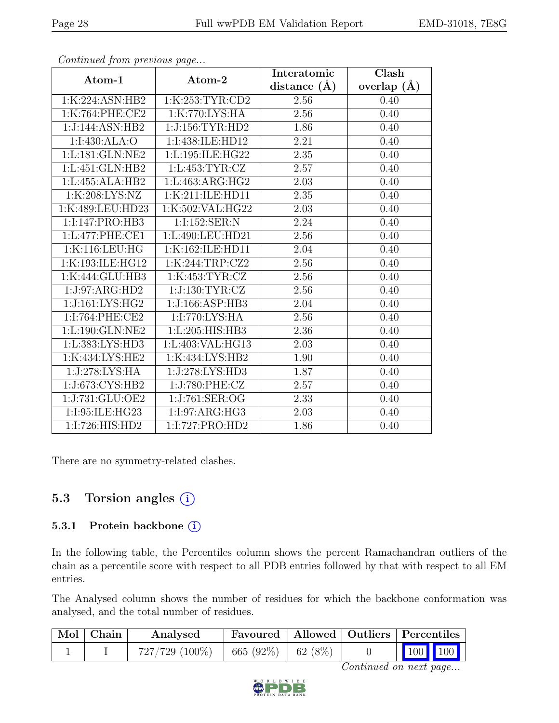| Continual from previous page |                     | Interatomic    | Clash           |
|------------------------------|---------------------|----------------|-----------------|
| Atom-1                       | Atom-2              | distance $(A)$ | overlap $(\AA)$ |
| 1:K:224:ASN:HB2              | 1:K:253:TYR:CD2     | 2.56           | 0.40            |
| 1:K:764:PHE:CE2              | 1:K:770:LYS:HA      | 2.56           | 0.40            |
| 1:J:144:ASN:HB2              | 1:J:156:TYR:HD2     | 1.86           | 0.40            |
| 1:I:430:ALA:O                | 1:1:438:1LE:HD12    | 2.21           | 0.40            |
| 1:L:181:GLN:NE2              | 1:L:195:ILE:HG22    | 2.35           | 0.40            |
| 1:L:451:GLN:HB2              | 1: L: 453: TYR: CZ  | 2.57           | 0.40            |
| 1:L:455:ALA:HB2              | 1:L:463:ARG:HG2     | 2.03           | 0.40            |
| 1:K:208:LYS:NZ               | 1:K:211:ILE:HD11    | $2.35\,$       | 0.40            |
| 1:K:489:LEU:HD23             | 1:K:502:VAL:HG22    | 2.03           | 0.40            |
| 1:I:147:PRO:HB3              | 1:I:152:SER:N       | 2.24           | 0.40            |
| 1:L:477:PHE:CE1              | 1:L:490:LEU:HD21    | 2.56           | 0.40            |
| 1:K:116:LEU:HG               | 1:K:162:ILE:HD11    | 2.04           | 0.40            |
| 1:K:193:ILE:HG12             | 1:K:244:TRP:CZ2     | 2.56           | 0.40            |
| 1:K:444:GLU:HB3              | 1:K:453:TYR:CZ      | 2.56           | 0.40            |
| 1:J:97:ARG:HD2               | 1:J:130:TYR:CZ      | 2.56           | 0.40            |
| 1:J:161:LYS:HG2              | 1:J:166:ASP:HB3     | 2.04           | 0.40            |
| 1:I:764:PHE:CE2              | 1:I:770:LYS:HA      | 2.56           | 0.40            |
| 1:L:190:GLN:NE2              | 1: L: 205: HIS: HB3 | 2.36           | 0.40            |
| 1:L:383:LYS:HD3              | 1:L:403:VAL:HG13    | 2.03           | 0.40            |
| 1:K:434:LYS:HE2              | 1:K:434:LYS:HB2     | 1.90           | 0.40            |
| 1:J:278:LYS:HA               | 1:J:278:LYS:HD3     | 1.87           | 0.40            |
| 1:J:673:CYS:HB2              | 1:J:780:PHE:CZ      | 2.57           | 0.40            |
| 1:J:731:GLU:OE2              | 1:J:761:SER:OG      | 2.33           | 0.40            |
| 1:I:95:ILE:HG23              | 1:I:97:ARG:HG3      | 2.03           | 0.40            |
| 1:I:726:HIS:HD2              | 1:I:727:PRO:HD2     | 1.86           | 0.40            |

There are no symmetry-related clashes.

## 5.3 Torsion angles  $(i)$

#### 5.3.1 Protein backbone (i)

In the following table, the Percentiles column shows the percent Ramachandran outliers of the chain as a percentile score with respect to all PDB entries followed by that with respect to all EM entries.

The Analysed column shows the number of residues for which the backbone conformation was analysed, and the total number of residues.

| Mol   Chain | Analysed          |                                 |  | Favoured   Allowed   Outliers   Percentiles |
|-------------|-------------------|---------------------------------|--|---------------------------------------------|
|             | $727/729~(100\%)$ | $\mid$ 665 (92%) $\mid$ 62 (8%) |  | 100 100                                     |

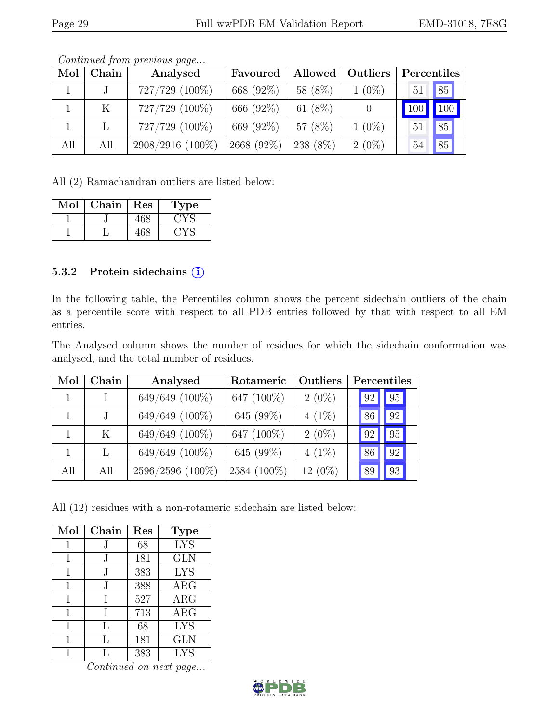| Mol | Chain     | Analysed         | Favoured   | Allowed    | <b>Outliers</b> | Percentiles |     |
|-----|-----------|------------------|------------|------------|-----------------|-------------|-----|
|     |           | 727/729 (100%)   | 668 (92%)  | 58 (8%)    | $1(0\%)$        | 51          | 85  |
|     | $K_{\rm}$ | 727/729 (100%)   | 666 (92%)  | 61 $(8\%)$ |                 |             | 100 |
|     |           | 727/729 (100%)   | 669 (92%)  | 57 (8%)    | $1(0\%)$        | 51          | 85  |
| All | All       | 2908/2916 (100%) | 2668 (92%) | 238 (8%)   | $2(0\%)$        | 54          | 85  |

All (2) Ramachandran outliers are listed below:

| Mol | Chain | Res | Type |
|-----|-------|-----|------|
|     |       | 468 |      |
|     |       | 468 |      |

#### 5.3.2 Protein sidechains (i)

In the following table, the Percentiles column shows the percent sidechain outliers of the chain as a percentile score with respect to all PDB entries followed by that with respect to all EM entries.

The Analysed column shows the number of residues for which the sidechain conformation was analysed, and the total number of residues.

| Mol | Chain | Analysed         | Rotameric   | Outliers  | Percentiles |    |
|-----|-------|------------------|-------------|-----------|-------------|----|
|     |       | 649/649 (100%)   | 647 (100%)  | $2(0\%)$  | 92          | 95 |
|     | J     | 649/649 (100%)   | 645 (99%)   | $4(1\%)$  | 86          | 92 |
|     | K     | 649/649 (100%)   | 647 (100%)  | $2(0\%)$  | 92          | 95 |
|     | L     | 649/649 (100%)   | 645 (99%)   | $4(1\%)$  | 186         | 92 |
| All | All   | 2596/2596 (100%) | 2584 (100%) | $12(0\%)$ | 89          | 93 |

All (12) residues with a non-rotameric sidechain are listed below:

| Mol | Chain | Res | <b>Type</b>      |
|-----|-------|-----|------------------|
| 1   | J.    | 68  | <b>LYS</b>       |
| 1   | J.    | 181 | <b>GLN</b>       |
| 1   | J.    | 383 | <b>LYS</b>       |
| 1   | J.    | 388 | $\rm{ARG}$       |
| 1   |       | 527 | $\rm{ARG}$       |
| 1   | T     | 713 | $\rm{ARG}$       |
| 1   | L     | 68  | $\overline{L}YS$ |
| 1   | L     | 181 | <b>GLN</b>       |
|     |       | 383 | <b>LYS</b>       |

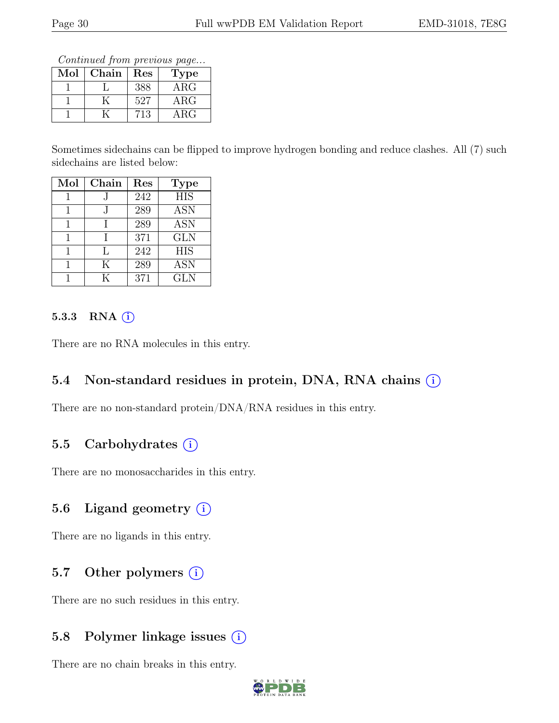Continued from previous page...

| $\operatorname{Mol}$ | Chain | $\operatorname{Res}% \left( \mathcal{N}\right) \equiv\operatorname*{Res}\left( \mathcal{N}\right)$ | <b>Type</b> |
|----------------------|-------|----------------------------------------------------------------------------------------------------|-------------|
|                      |       | 388                                                                                                | $\rm{ARG}$  |
|                      |       | 527                                                                                                | $\rm{ARG}$  |
|                      |       | 713                                                                                                | ABC         |

Sometimes sidechains can be flipped to improve hydrogen bonding and reduce clashes. All (7) such sidechains are listed below:

| Mol | Chain | Res | <b>Type</b> |
|-----|-------|-----|-------------|
| 1   |       | 242 | <b>HIS</b>  |
|     |       | 289 | <b>ASN</b>  |
|     |       | 289 | <b>ASN</b>  |
|     |       | 371 | <b>GLN</b>  |
|     | Τ.    | 242 | <b>HIS</b>  |
| 1   | K     | 289 | <b>ASN</b>  |
|     | K     | 371 | GLN         |

#### 5.3.3 RNA  $(i)$

There are no RNA molecules in this entry.

#### 5.4 Non-standard residues in protein, DNA, RNA chains  $\circ$

There are no non-standard protein/DNA/RNA residues in this entry.

#### 5.5 Carbohydrates  $(i)$

There are no monosaccharides in this entry.

## 5.6 Ligand geometry  $(i)$

There are no ligands in this entry.

## 5.7 Other polymers  $(i)$

There are no such residues in this entry.

## 5.8 Polymer linkage issues  $(i)$

There are no chain breaks in this entry.

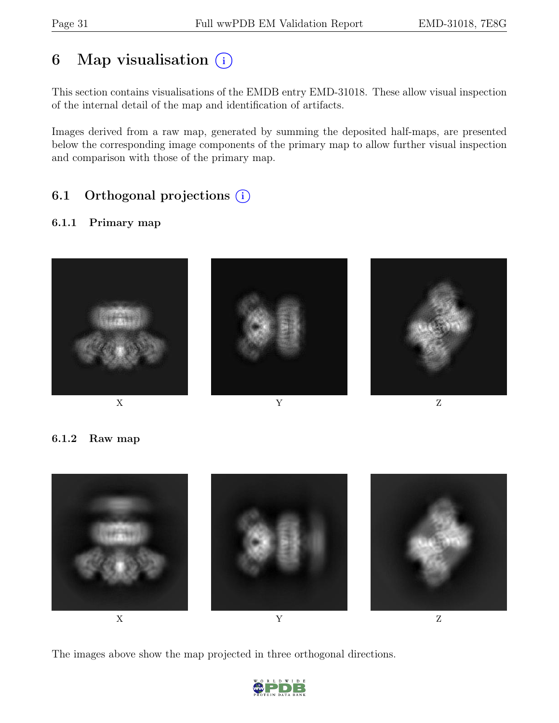# 6 Map visualisation  $(i)$

This section contains visualisations of the EMDB entry EMD-31018. These allow visual inspection of the internal detail of the map and identification of artifacts.

Images derived from a raw map, generated by summing the deposited half-maps, are presented below the corresponding image components of the primary map to allow further visual inspection and comparison with those of the primary map.

# 6.1 Orthogonal projections (i)

#### 6.1.1 Primary map







6.1.2 Raw map



The images above show the map projected in three orthogonal directions.

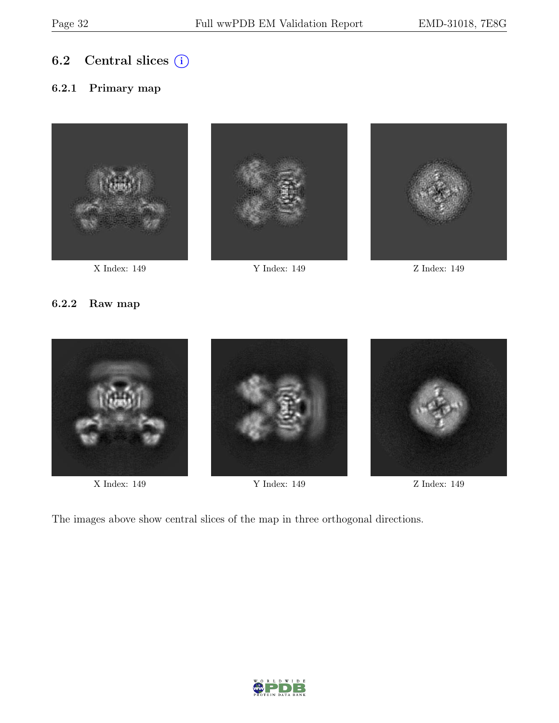## 6.2 Central slices  $(i)$

#### 6.2.1 Primary map



X Index: 149 Y Index: 149 Z Index: 149





#### 6.2.2 Raw map



X Index: 149 Y Index: 149 Z Index: 149

The images above show central slices of the map in three orthogonal directions.

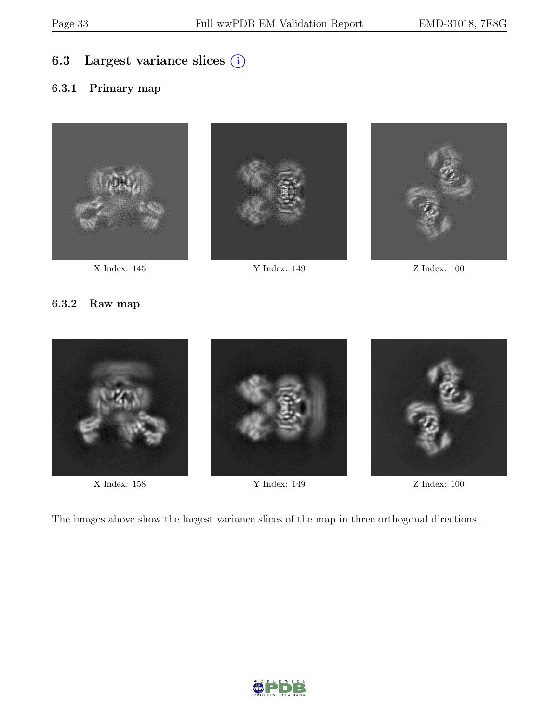# 6.3 Largest variance slices (i)

#### 6.3.1 Primary map



X Index: 145 Y Index: 149 Z Index: 100





#### 6.3.2 Raw map



X Index: 158 Y Index: 149 Z Index: 100

The images above show the largest variance slices of the map in three orthogonal directions.

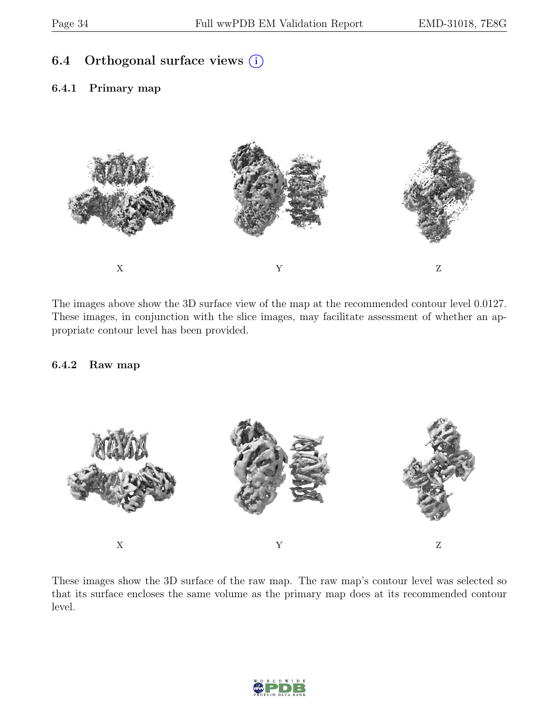### 6.4 Orthogonal surface views  $(i)$

6.4.1 Primary map



The images above show the 3D surface view of the map at the recommended contour level 0.0127. These images, in conjunction with the slice images, may facilitate assessment of whether an appropriate contour level has been provided.

#### 6.4.2 Raw map



These images show the 3D surface of the raw map. The raw map's contour level was selected so that its surface encloses the same volume as the primary map does at its recommended contour level.

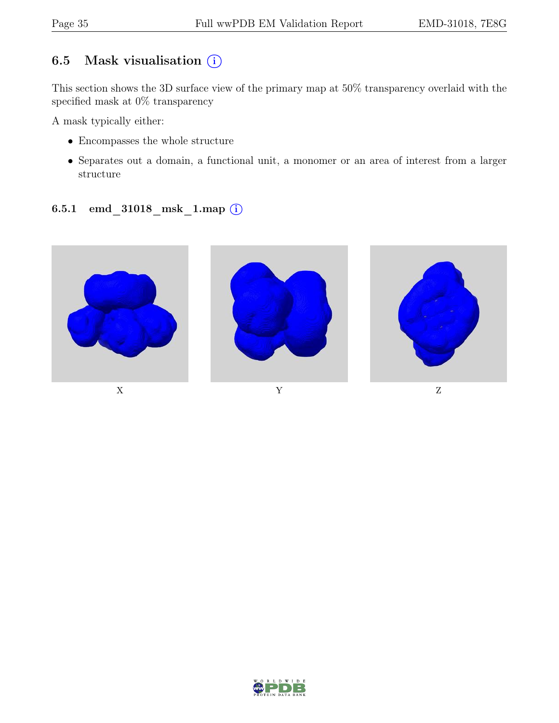# 6.5 Mask visualisation  $(i)$

This section shows the 3D surface view of the primary map at 50% transparency overlaid with the specified mask at 0% transparency

A mask typically either:

- Encompasses the whole structure
- Separates out a domain, a functional unit, a monomer or an area of interest from a larger structure

### 6.5.1 emd 31018 msk 1.map ①



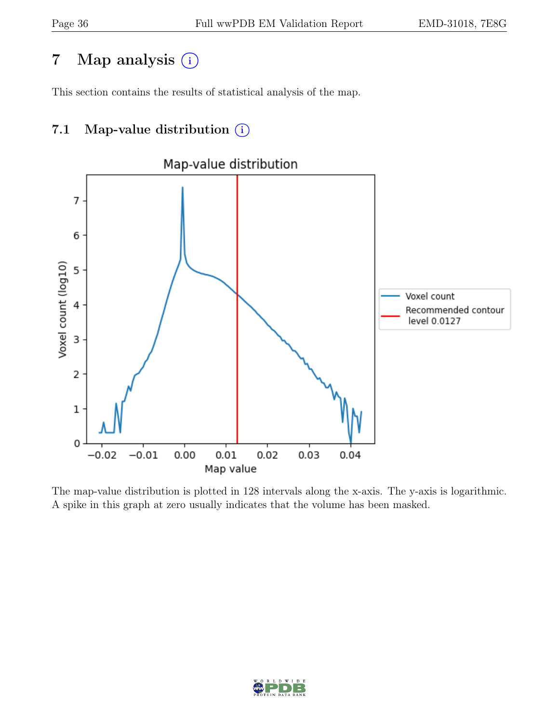# 7 Map analysis (i)

This section contains the results of statistical analysis of the map.

# 7.1 Map-value distribution  $(i)$



The map-value distribution is plotted in 128 intervals along the x-axis. The y-axis is logarithmic. A spike in this graph at zero usually indicates that the volume has been masked.

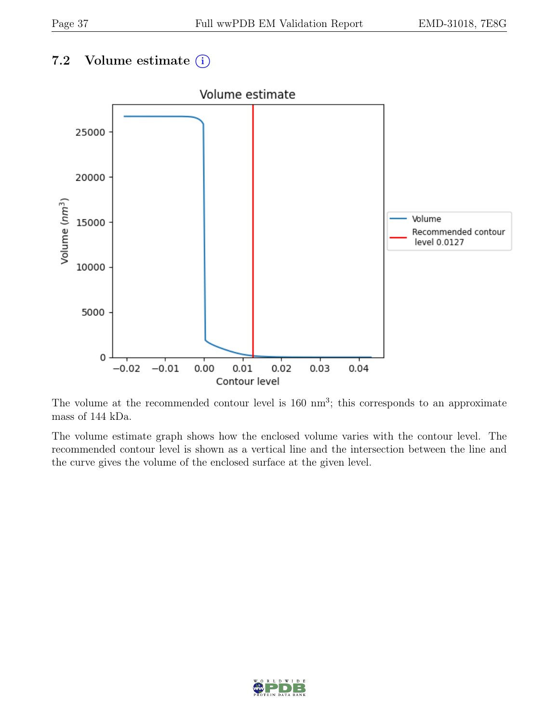# 7.2 Volume estimate  $(i)$



The volume at the recommended contour level is  $160 \text{ nm}^3$ ; this corresponds to an approximate mass of 144 kDa.

The volume estimate graph shows how the enclosed volume varies with the contour level. The recommended contour level is shown as a vertical line and the intersection between the line and the curve gives the volume of the enclosed surface at the given level.

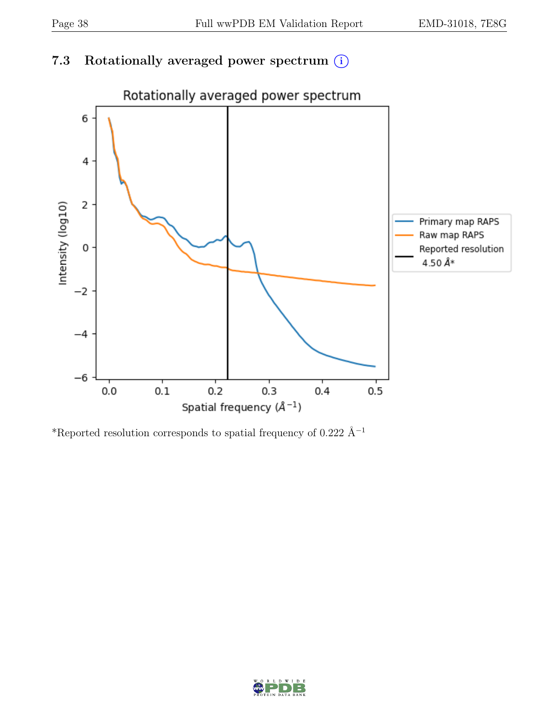# 7.3 Rotationally averaged power spectrum  $(i)$



\*Reported resolution corresponds to spatial frequency of 0.222 Å<sup> $-1$ </sup>

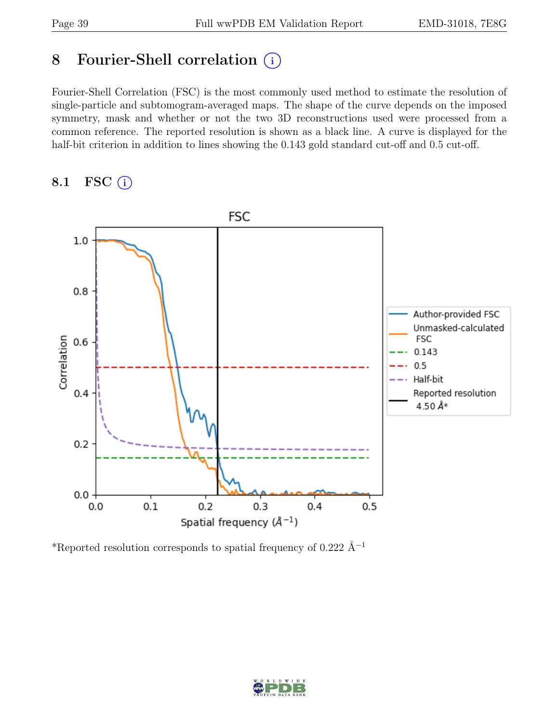# 8 Fourier-Shell correlation (i)

Fourier-Shell Correlation (FSC) is the most commonly used method to estimate the resolution of single-particle and subtomogram-averaged maps. The shape of the curve depends on the imposed symmetry, mask and whether or not the two 3D reconstructions used were processed from a common reference. The reported resolution is shown as a black line. A curve is displayed for the half-bit criterion in addition to lines showing the 0.143 gold standard cut-off and 0.5 cut-off.

### 8.1 FSC  $(i)$



\*Reported resolution corresponds to spatial frequency of 0.222 Å<sup>-1</sup>

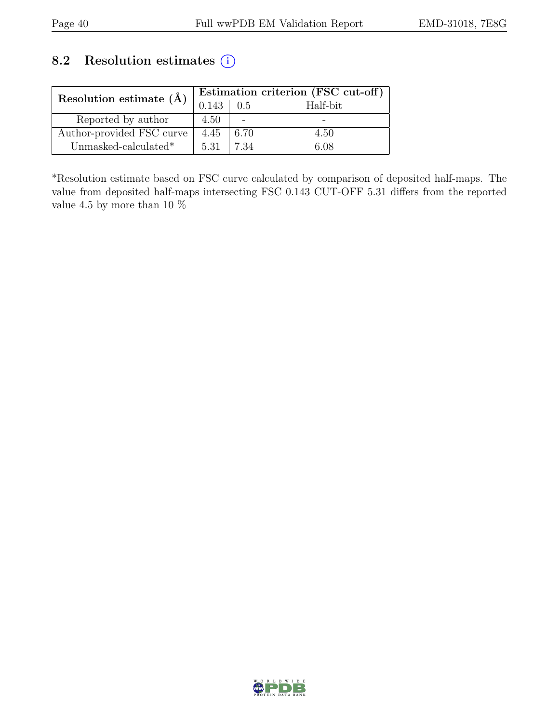## 8.2 Resolution estimates (i)

| Resolution estimate $(\AA)$ | Estimation criterion (FSC cut-off) |      |          |
|-----------------------------|------------------------------------|------|----------|
|                             | 0.143                              | 0.5  | Half-bit |
| Reported by author          | 4.50                               | -    |          |
| Author-provided FSC curve   | 4.45                               | 6.70 | 4.50     |
| Unmasked-calculated*        | 5.31                               | 7 34 | 6 N S    |

\*Resolution estimate based on FSC curve calculated by comparison of deposited half-maps. The value from deposited half-maps intersecting FSC 0.143 CUT-OFF 5.31 differs from the reported value 4.5 by more than 10  $\%$ 

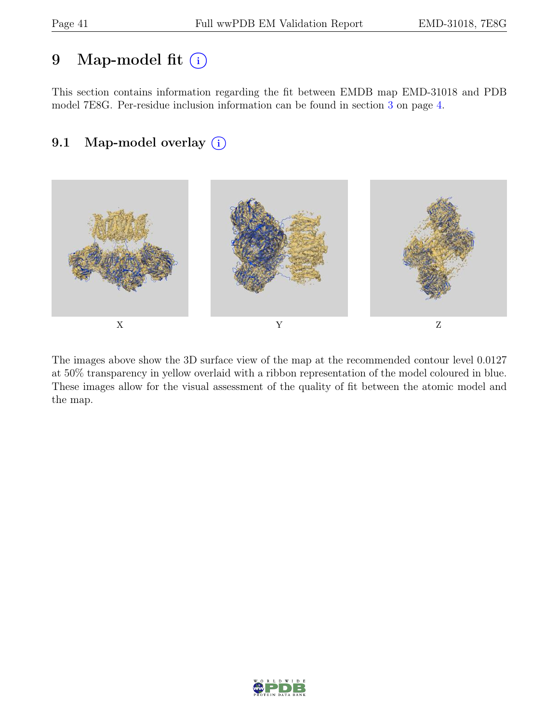# 9 Map-model fit  $(i)$

This section contains information regarding the fit between EMDB map EMD-31018 and PDB model 7E8G. Per-residue inclusion information can be found in section [3](#page-3-0) on page [4.](#page-3-0)

# 9.1 Map-model overlay (i)



The images above show the 3D surface view of the map at the recommended contour level 0.0127 at 50% transparency in yellow overlaid with a ribbon representation of the model coloured in blue. These images allow for the visual assessment of the quality of fit between the atomic model and the map.